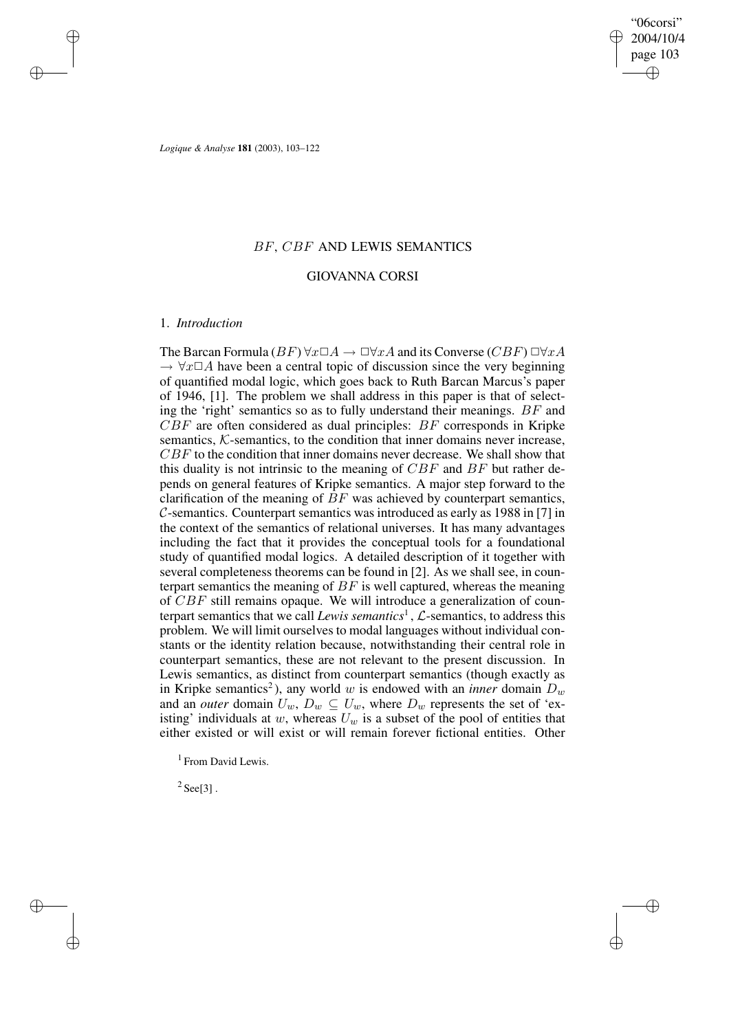✐

✐

*Logique & Analyse* **181** (2003), 103–122

## BF, CBF AND LEWIS SEMANTICS

## GIOVANNA CORSI

## 1. *Introduction*

 $\rightarrow$ 

 $\rightarrow$ 

✐

✐

The Barcan Formula ( $BF$ )  $\forall x \Box A \rightarrow \Box \forall xA$  and its Converse ( $CBF$ )  $\Box \forall xA$  $\rightarrow \forall x \Box A$  have been a central topic of discussion since the very beginning of quantified modal logic, which goes back to Ruth Barcan Marcus's paper of 1946, [1]. The problem we shall address in this paper is that of selecting the 'right' semantics so as to fully understand their meanings. BF and  $CBF$  are often considered as dual principles:  $BF$  corresponds in Kripke semantics, K-semantics, to the condition that inner domains never increase, CBF to the condition that inner domains never decrease. We shall show that this duality is not intrinsic to the meaning of  $CBF$  and  $BF$  but rather depends on general features of Kripke semantics. A major step forward to the clarification of the meaning of  $BF$  was achieved by counterpart semantics, C-semantics. Counterpart semantics was introduced as early as 1988 in [7] in the context of the semantics of relational universes. It has many advantages including the fact that it provides the conceptual tools for a foundational study of quantified modal logics. A detailed description of it together with several completeness theorems can be found in [2]. As we shall see, in counterpart semantics the meaning of  $BF$  is well captured, whereas the meaning of  $CBF$  still remains opaque. We will introduce a generalization of counterpart semantics that we call *Lewis semantics*<sup>1</sup> , L-semantics, to address this problem. We will limit ourselves to modal languages without individual constants or the identity relation because, notwithstanding their central role in counterpart semantics, these are not relevant to the present discussion. In Lewis semantics, as distinct from counterpart semantics (though exactly as in Kripke semantics<sup>2</sup>), any world w is endowed with an *inner* domain  $D_w$ and an *outer* domain  $U_w$ ,  $D_w \subseteq U_w$ , where  $D_w$  represents the set of 'existing' individuals at w, whereas  $U_w$  is a subset of the pool of entities that either existed or will exist or will remain forever fictional entities. Other

<sup>1</sup> From David Lewis.

 $2$  See[3].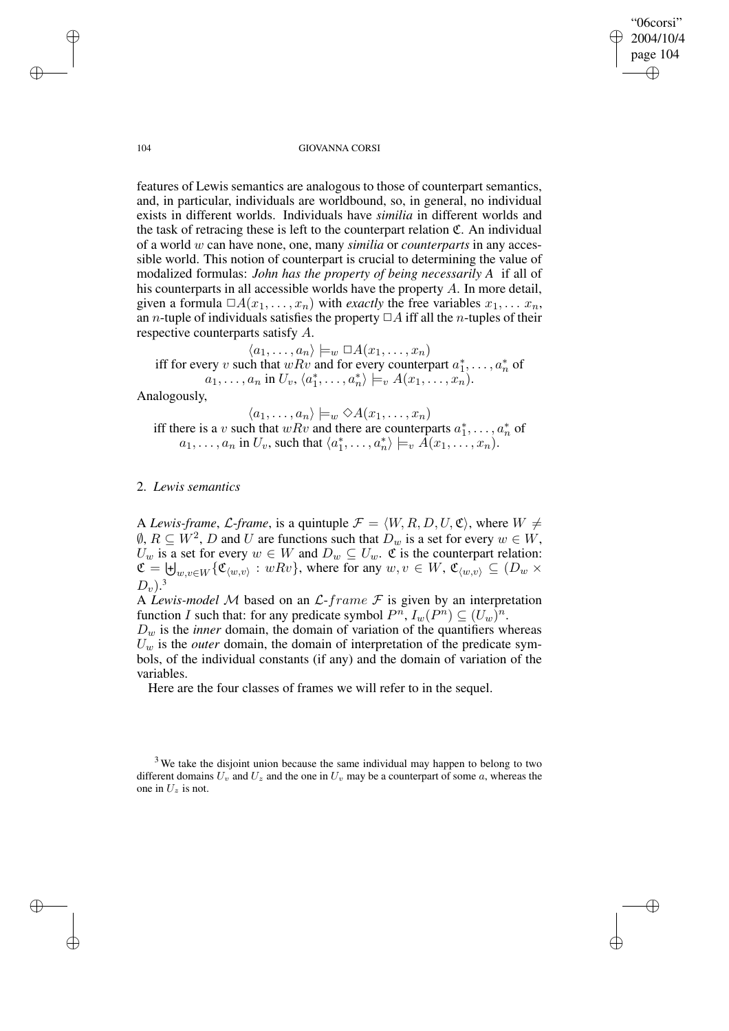"06corsi" 2004/10/4 page 104 ✐ ✐

✐

✐

#### 104 GIOVANNA CORSI

features of Lewis semantics are analogous to those of counterpart semantics, and, in particular, individuals are worldbound, so, in general, no individual exists in different worlds. Individuals have *similia* in different worlds and the task of retracing these is left to the counterpart relation  $\mathfrak{C}$ . An individual of a world w can have none, one, many *similia* or *counterparts* in any accessible world. This notion of counterpart is crucial to determining the value of modalized formulas: *John has the property of being necessarily A* if all of his counterparts in all accessible worlds have the property A. In more detail, given a formula  $\Box A(x_1, \ldots, x_n)$  with *exactly* the free variables  $x_1, \ldots, x_n$ , an *n*-tuple of individuals satisfies the property  $\Box A$  iff all the *n*-tuples of their respective counterparts satisfy A.

 $\langle a_1, \ldots, a_n \rangle \models_w \Box A(x_1, \ldots, x_n)$ iff for every v such that  $wRv$  and for every counterpart  $a_1^*, \ldots, a_n^*$  of  $a_1, \ldots, a_n$  in  $U_v, \langle a_1^*, \ldots, a_n^* \rangle \models_v A(x_1, \ldots, x_n)$ .

Analogously,

 $\langle a_1, \ldots, a_n \rangle \models_w \Diamond A(x_1, \ldots, x_n)$ iff there is a v such that  $wRv$  and there are counterparts  $a_1^*, \ldots, a_n^*$  of  $a_1, \ldots, a_n$  in  $U_v$ , such that  $\langle a_1^*, \ldots, a_n^* \rangle \models_v \tilde{A}(x_1, \ldots, x_n)$ .

## 2. *Lewis semantics*

A *Lewis-frame*, *L-frame*, is a quintuple  $\mathcal{F} = \langle W, R, D, U, \mathfrak{C} \rangle$ , where  $W \neq$  $\emptyset$ ,  $R \subseteq W^2$ , D and U are functions such that  $D_w$  is a set for every  $w \in W$ ,  $U_w$  is a set for every  $w \in W$  and  $D_w \subseteq U_w$ .  $\mathfrak C$  is the counterpart relation:  $\mathfrak{C} = \biguplus_{w,v \in W} \{ \mathfrak{C}_{\langle w,v \rangle} : wRv \}$ , where for any  $w, v \in W$ ,  $\mathfrak{C}_{\langle w,v \rangle} \subseteq (D_w \times D_w)$  $D_v$ ).<sup>3</sup>

A *Lewis-model* M based on an L-frame F is given by an interpretation function I such that: for any predicate symbol  $P^n$ ,  $I_w(P^n) \subseteq (U_w)^n$ .

 $D_w$  is the *inner* domain, the domain of variation of the quantifiers whereas  $U_w$  is the *outer* domain, the domain of interpretation of the predicate symbols, of the individual constants (if any) and the domain of variation of the variables.

Here are the four classes of frames we will refer to in the sequel.

<sup>3</sup> We take the disjoint union because the same individual may happen to belong to two different domains  $U_v$  and  $U_z$  and the one in  $U_v$  may be a counterpart of some a, whereas the one in  $U_z$  is not.

 $\rightarrow$ 

 $\rightarrow$ 

✐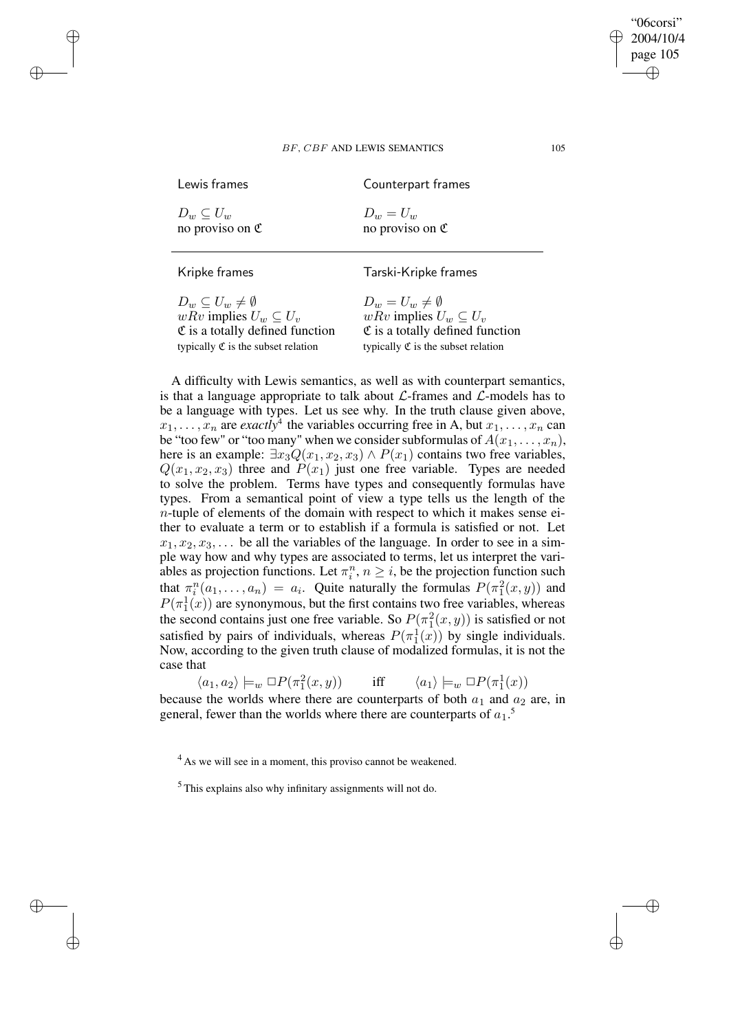| Lewis frames                | Counterpart frames          |
|-----------------------------|-----------------------------|
| $D_w \subseteq U_w$         | $D_w = U_w$                 |
| no proviso on $\mathfrak C$ | no proviso on $\mathfrak C$ |

 $\rightarrow$ 

 $\rightarrow$ 

✐

✐

Kripke frames Tarski-Kripke frames

 $D_w \subseteq U_w \neq \emptyset$ <br>  $wRv$  implies  $U_w \subseteq U_v$ <br>  $wRv$  implies  $U_w$  $\mathfrak C$  is a totally defined function typically  $\mathfrak C$  is the subset relation typically  $\mathfrak C$  is the subset relation

wRv implies  $U_w \subseteq U_v$ <br>
C is a totally defined function

A difficulty with Lewis semantics, as well as with counterpart semantics, is that a language appropriate to talk about  $\mathcal{L}\text{-frames}$  and  $\mathcal{L}\text{-models}$  has to be a language with types. Let us see why. In the truth clause given above,  $x_1, \ldots, x_n$  are *exactly*<sup>4</sup> the variables occurring free in A, but  $x_1, \ldots, x_n$  can be "too few" or "too many" when we consider subformulas of  $A(x_1, \ldots, x_n)$ , here is an example:  $\exists x_3 Q(x_1, x_2, x_3) \wedge P(x_1)$  contains two free variables,  $Q(x_1, x_2, x_3)$  three and  $P(x_1)$  just one free variable. Types are needed to solve the problem. Terms have types and consequently formulas have types. From a semantical point of view a type tells us the length of the  $n$ -tuple of elements of the domain with respect to which it makes sense either to evaluate a term or to establish if a formula is satisfied or not. Let  $x_1, x_2, x_3, \ldots$  be all the variables of the language. In order to see in a simple way how and why types are associated to terms, let us interpret the variables as projection functions. Let  $\pi_i^n$ ,  $n \geq i$ , be the projection function such that  $\pi_i^n(a_1,\ldots,a_n) = a_i$ . Quite naturally the formulas  $P(\pi_1^2(x,y))$  and  $P(\pi_1^1(x))$  are synonymous, but the first contains two free variables, whereas the second contains just one free variable. So  $P(\pi_1^2(x, y))$  is satisfied or not satisfied by pairs of individuals, whereas  $P(\pi_1^1(x))$  by single individuals. Now, according to the given truth clause of modalized formulas, it is not the case that

 $\langle a_1, a_2 \rangle \models_w \Box P(\pi_1^2)$  $(x, y)$  iff  $\langle a_1 \rangle \models_w \Box P(\pi_1^1(x))$ because the worlds where there are counterparts of both  $a_1$  and  $a_2$  are, in general, fewer than the worlds where there are counterparts of  $a_1$ <sup>5</sup>.

<sup>4</sup> As we will see in a moment, this proviso cannot be weakened.

"06corsi" 2004/10/4 page 105

✐

✐

✐

<sup>5</sup> This explains also why infinitary assignments will not do.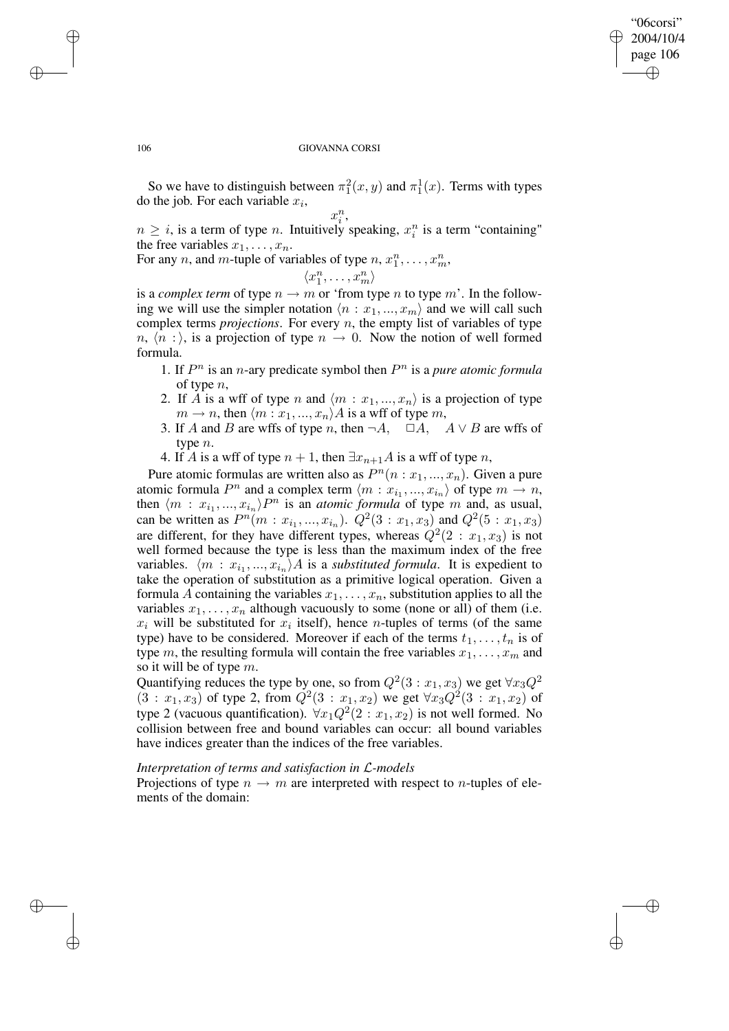✐

✐

#### 106 GIOVANNA CORSI

So we have to distinguish between  $\pi_1^2(x, y)$  and  $\pi_1^1(x)$ . Terms with types do the job. For each variable  $x_i$ ,

$$
x_i^n,
$$

 $n \geq i$ , is a term of type n. Intuitively speaking,  $x_i^n$  is a term "containing" the free variables  $x_1, \ldots, x_n$ .

For any *n*, and *m*-tuple of variables of type  $n, x_1^n, \ldots, x_m^n$ ,

$$
\langle x_1^n,\ldots,x_m^n\rangle
$$

is a *complex term* of type  $n \to m$  or 'from type n to type m'. In the following we will use the simpler notation  $\langle n : x_1, ..., x_m \rangle$  and we will call such complex terms *projections*. For every n, the empty list of variables of type  $n, \langle n : \rangle$ , is a projection of type  $n \to 0$ . Now the notion of well formed formula.

- 1. If  $P^n$  is an *n*-ary predicate symbol then  $P^n$  is a pure atomic formula of type n,
- 2. If A is a wff of type n and  $\langle m : x_1, ..., x_n \rangle$  is a projection of type  $m \rightarrow n$ , then  $\langle m : x_1, ..., x_n \rangle A$  is a wff of type m,
- 3. If A and B are wffs of type n, then  $\neg A$ ,  $\Box A$ ,  $A \lor B$  are wffs of type n.
- 4. If A is a wff of type  $n + 1$ , then  $\exists x_{n+1}A$  is a wff of type n,

Pure atomic formulas are written also as  $P<sup>n</sup>(n : x<sub>1</sub>, ..., x<sub>n</sub>)$ . Given a pure atomic formula  $P^n$  and a complex term  $\langle m : x_{i_1}, ..., x_{i_n} \rangle$  of type  $m \to n$ , then  $\langle m : x_{i_1}, ..., x_{i_n} \rangle P^n$  is an *atomic formula* of type m and, as usual, can be written as  $P^n(m : x_{i_1}, ..., x_{i_n})$ .  $Q^2(3 : x_1, x_3)$  and  $Q^2(5 : x_1, x_3)$ are different, for they have different types, whereas  $Q^2(2 : x_1, x_3)$  is not well formed because the type is less than the maximum index of the free variables.  $\langle m : x_{i_1}, ..., x_{i_n} \rangle A$  is a *substituted formula*. It is expedient to take the operation of substitution as a primitive logical operation. Given a formula A containing the variables  $x_1, \ldots, x_n$ , substitution applies to all the variables  $x_1, \ldots, x_n$  although vacuously to some (none or all) of them (i.e.  $x_i$  will be substituted for  $x_i$  itself), hence *n*-tuples of terms (of the same type) have to be considered. Moreover if each of the terms  $t_1, \ldots, t_n$  is of type m, the resulting formula will contain the free variables  $x_1, \ldots, x_m$  and so it will be of type m.

Quantifying reduces the type by one, so from  $Q^2(3:x_1,x_3)$  we get  $\forall x_3 Q^2$  $(3: x_1, x_3)$  of type 2, from  $Q^2(3: x_1, x_2)$  we get  $\forall x_3 Q^2(3: x_1, x_2)$  of type 2 (vacuous quantification).  $\forall x_1 Q^2(2 : x_1, x_2)$  is not well formed. No collision between free and bound variables can occur: all bound variables have indices greater than the indices of the free variables.

## *Interpretation of terms and satisfaction in* L*-models*

Projections of type  $n \to m$  are interpreted with respect to *n*-tuples of elements of the domain:

 $\rightarrow$ 

 $\rightarrow$ 

✐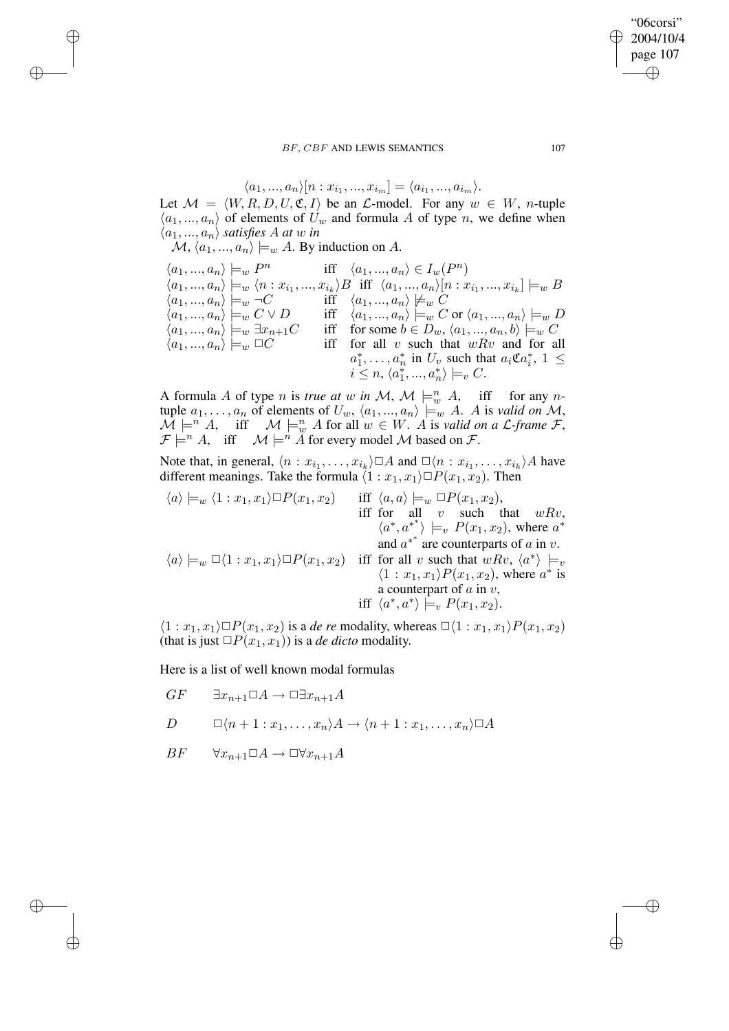## "06corsi" 2004/10/4 page 107 ✐ ✐

 $\oplus$ 

✐

## BF, CBF AND LEWIS SEMANTICS 107

$$
\langle a_1, ..., a_n \rangle [n : x_{i_1}, ..., x_{i_m}] = \langle a_{i_1}, ..., a_{i_m} \rangle.
$$

Let  $M = \langle W, R, D, U, \mathfrak{C}, I \rangle$  be an  $\mathcal{L}\text{-model}$ . For any  $w \in W$ , *n*-tuple  $\langle a_1, ..., a_n \rangle$  of elements of  $U_w$  and formula A of type n, we define when  $\langle a_1, ..., a_n \rangle$  *satisfies* A *at* w *in* 

 $\mathcal{M}, \langle a_1, ..., a_n \rangle \models_w A$ . By induction on A.

 $\rightarrow$ 

 $\rightarrow$ 

✐

✐

$$
\langle a_1, ..., a_n \rangle \models_w P^n \quad \text{iff} \quad \langle a_1, ..., a_n \rangle \in I_w(P^n)
$$
  
\n
$$
\langle a_1, ..., a_n \rangle \models_w \langle n : x_{i_1}, ..., x_{i_k} \rangle B \quad \text{iff} \quad \langle a_1, ..., a_n \rangle [n : x_{i_1}, ..., x_{i_k}] \models_w B
$$
  
\n
$$
\langle a_1, ..., a_n \rangle \models_w \neg C \quad \text{iff} \quad \langle a_1, ..., a_n \rangle \not\models_w C
$$
  
\n
$$
\langle a_1, ..., a_n \rangle \models_w C \lor D \quad \text{iff} \quad \langle a_1, ..., a_n \rangle \models_w C \text{ or } \langle a_1, ..., a_n \rangle \models_w D
$$
  
\n
$$
\langle a_1, ..., a_n \rangle \models_w \exists x_{n+1} C \quad \text{iff} \quad \text{for some } b \in D_w, \langle a_1, ..., a_n, b \rangle \models_w C
$$
  
\n
$$
\langle a_1, ..., a_n \rangle \models_w \Box C \quad \text{iff} \quad \text{for all } v \text{ such that } wRv \text{ and for all}
$$
  
\n
$$
\langle a_1, ..., a_n \rangle \models_w \Box C \quad \text{iff} \quad \text{for all } v \text{ such that } wRv \text{ and for all}
$$
  
\n
$$
a_1^*, ..., a_n^* \text{ in } U_v \text{ such that } a_i \mathfrak{C} a_i^*, 1 \leq i \leq n, \langle a_1^*, ..., a_n^* \rangle \models_v C.
$$

A formula A of type *n* is *true* at w in  $\mathcal{M}$ ,  $\mathcal{M} \models_w^n A$ , iff for any *n*tuple  $a_1, \ldots, a_n$  of elements of  $U_w, \langle a_1, \ldots, a_n \rangle \models_w A$ . A is *valid on* M,  $\mathcal{M} \models^n A$ , iff  $\mathcal{M} \models_w^n A$  for all  $w \in W$ . A is *valid on a L-frame*  $\mathcal{F}$ ,  $\mathcal{F} \models^n A$ , iff  $\mathcal{M} \models^n \tilde{A}$  for every model M based on  $\mathcal{F}$ .

Note that, in general,  $\langle n : x_{i_1}, \ldots, x_{i_k} \rangle \Box A$  and  $\Box \langle n : x_{i_1}, \ldots, x_{i_k} \rangle A$  have different meanings. Take the formula  $\langle 1 : x_1, x_1 \rangle \Box P(x_1, x_2)$ . Then

$$
\langle a \rangle \models_w \langle 1 : x_1, x_1 \rangle \Box P(x_1, x_2) \quad \text{iff} \quad \langle a, a \rangle \models_w \Box P(x_1, x_2),
$$
  
\n
$$
\langle a^*, a^{**} \rangle \models_v P(x_1, x_2), \text{ where } a^*
$$
  
\n
$$
\langle a \rangle \models_w \Box \langle 1 : x_1, x_1 \rangle \Box P(x_1, x_2) \quad \text{iff} \quad \text{for all } v \text{ such that } wRv, \langle a^* \rangle \models_v
$$
  
\n
$$
\langle a \rangle \models_w \Box \langle 1 : x_1, x_1 \rangle \Box P(x_1, x_2) \quad \text{iff} \quad \text{for all } v \text{ such that } wRv, \langle a^* \rangle \models_v
$$
  
\n
$$
\langle 1 : x_1, x_1 \rangle P(x_1, x_2), \text{ where } a^* \text{ is a counterpart of } a \text{ in } v,
$$
  
\n
$$
\text{iff} \quad \langle a^*, a^* \rangle \models_v P(x_1, x_2).
$$

 $\langle 1 : x_1, x_1 \rangle \Box P(x_1, x_2)$  is a *de re* modality, whereas  $\Box \langle 1 : x_1, x_1 \rangle P(x_1, x_2)$ (that is just  $\Box P(x_1, x_1)$ ) is a *de dicto* modality.

Here is a list of well known modal formulas

$$
GF \qquad \exists x_{n+1} \Box A \to \Box \exists x_{n+1} A
$$

$$
D \qquad \Box \langle n+1 : x_1, \ldots, x_n \rangle A \to \langle n+1 : x_1, \ldots, x_n \rangle \Box A
$$

$$
BF \qquad \forall x_{n+1} \Box A \to \Box \forall x_{n+1} A
$$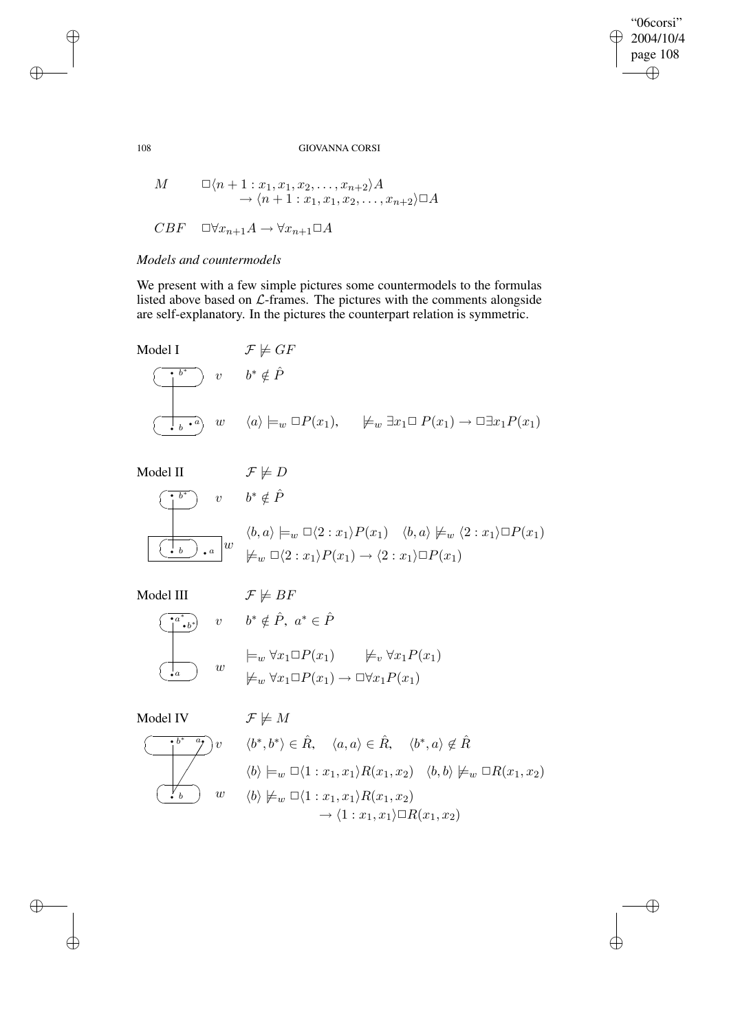"06corsi"  $\geq 2004/10/4$ page 108  $\bigoplus$ 

 $\bigoplus$ 

 $\bigoplus$ 

## 108 GIOVANNA CORSI

$$
M \qquad \square \langle n+1:x_1, x_1, x_2, \dots, x_{n+2} \rangle A
$$
  
\n
$$
\rightarrow \langle n+1:x_1, x_1, x_2, \dots, x_{n+2} \rangle \square A
$$
  
\n
$$
CBF \qquad \square \forall x_{n+1}A \rightarrow \forall x_{n+1} \square A
$$

## *Models and countermodels*

We present with a few simple pictures some countermodels to the formulas listed above based on  $\mathcal{L}\text{-frames}$ . The pictures with the comments alongside are self-explanatory. In the pictures the counterpart relation is symmetric.

Model I 
$$
\mathcal{F} \not\models GF
$$
  
\n $v \quad b^* \notin \hat{P}$   
\n $\underbrace{(b^*)}^{b^*} v \quad b^* \notin \hat{P}$   
\n $\underbrace{(a)} \models_w \Box P(x_1), \quad \not\models_w \exists x_1 \Box P(x_1) \rightarrow \Box \exists x_1 P(x_1)$ 

Model II  
\n
$$
\mathcal{F} \not\models D
$$
\n
$$
\begin{array}{ccc}\n\bullet & \circ & b^* \notin \hat{P} \\
\hline\n\bullet & \circ & \circ & \circ\n\end{array}
$$
\n
$$
\begin{array}{ccc}\n\bullet & \circ & \circ & \circ \\
\hline\n\bullet & \circ & \circ & \circ\n\end{array}
$$
\n
$$
\begin{array}{ccc}\n\bullet & \circ & \circ & \circ \\
\hline\n\bullet & \bullet & \circ & \circ\n\end{array}
$$
\n
$$
\begin{array}{ccc}\n\bullet & \circ & \circ & \circ \\
\hline\n\bullet & \bullet & \circ & \circ\n\end{array}
$$
\n
$$
\begin{array}{ccc}\n\bullet & \circ & \circ & \circ \\
\hline\n\bullet & \circ & \circ & \circ\n\end{array}
$$
\n
$$
\begin{array}{ccc}\n\bullet & \circ & \circ & \circ \\
\hline\n\bullet & \circ & \circ & \circ\n\end{array}
$$
\n
$$
\begin{array}{ccc}\n\bullet & \circ & \circ & \circ & \circ \\
\hline\n\bullet & \circ & \circ & \circ & \circ\n\end{array}
$$

Model III 
$$
\mathcal{F} \not\models BF
$$
  
 $\overbrace{A^{a^*}, A}^{a^*}} \qquad v \qquad b^* \notin \hat{P}, \quad c$ 

$$
\overrightarrow{b^*} \quad v \quad b^* \notin \hat{P}, \ a^* \in
$$

$$
\begin{array}{ccc}\n & \models_w \forall x_1 \Box P(x_1) & \not\models_v \forall x_1 P(x_1) \\
\downarrow_w & \forall x_1 \Box P(x_1) \rightarrow \Box \forall x_1 P(x_1)\n\end{array}
$$

 $\hat{P}$ 

Model IV  $\mathcal{F} \not\models M$ 

☛  $\overline{\phantom{a}}$ 

✡

 $\cdot a^*$ 



$$
\langle b^*, b^* \rangle \in \hat{R}, \quad \langle a, a \rangle \in \hat{R}, \quad \langle b^*, a \rangle \notin \hat{R}
$$
  

$$
\langle b \rangle \models_w \Box \langle 1 : x_1, x_1 \rangle R(x_1, x_2) \quad \langle b, b \rangle \not\models_w \Box R(x_1, x_2)
$$
  

$$
\langle b \rangle \not\models_w \Box \langle 1 : x_1, x_1 \rangle R(x_1, x_2)
$$
  

$$
\rightarrow \langle 1 : x_1, x_1 \rangle \Box R(x_1, x_2)
$$

✐

 $\overline{a}$ 

 $\bigoplus$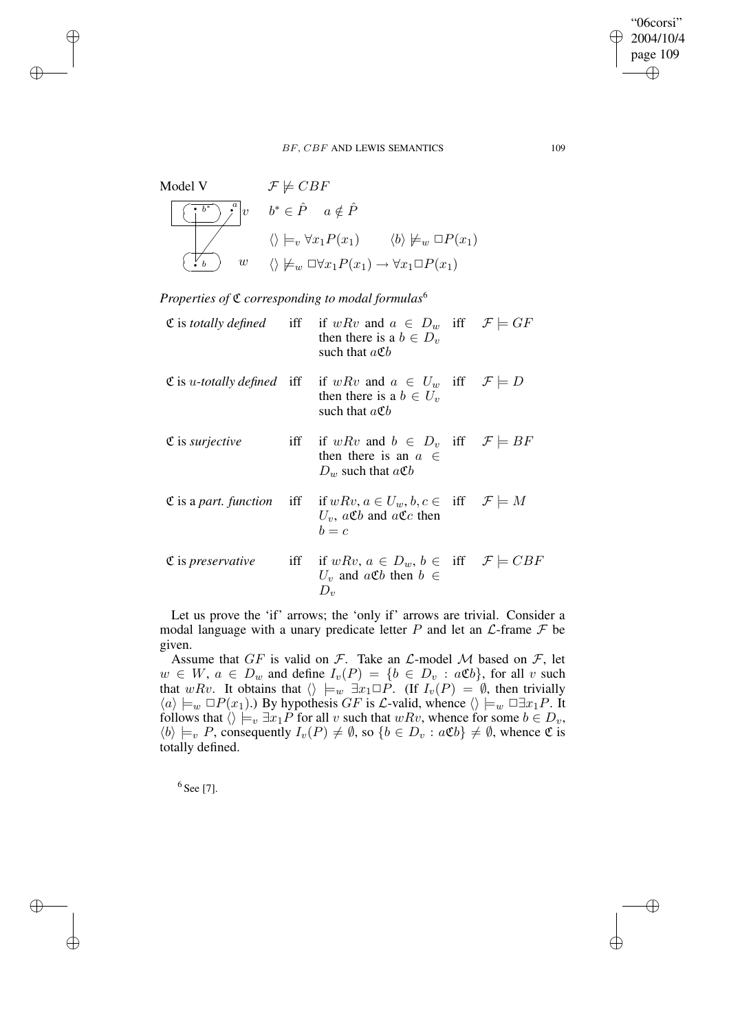Model V  
\n
$$
\mathcal{F} \not\models CBF
$$
\n
$$
\begin{array}{|c|c|c|}\n\hline\n\begin{pmatrix}\n\overrightarrow{b}^* & \overrightarrow{a} \\
\overrightarrow{b}^* & \overrightarrow{b}^* & \in \hat{P} & a \notin \hat{P} \\
\hline\n\end{pmatrix} \\
\hline\n\begin{pmatrix}\n\overrightarrow{b}^* & \overrightarrow{b} & \overrightarrow{b} \\
\overrightarrow{b} & \overrightarrow{b} & \overrightarrow{b} \\
\hline\n\end{pmatrix} & w & \langle \rangle \not\models_w \Box \forall x_1 P(x_1) \rightarrow \forall x_1 \Box P(x_1) \\
\hline\n\begin{pmatrix}\n\overrightarrow{b} & \overrightarrow{b} & \overrightarrow{b} \\
\overrightarrow{b} & \overrightarrow{b} & \overrightarrow{b} \\
\overrightarrow{b} & \overrightarrow{b} & \overrightarrow{b} \\
\end{pmatrix} & \hline\n\end{array}
$$

*Properties of* C *corresponding to modal formulas*<sup>6</sup>

 $\rightarrow$ 

 $\rightarrow$ 

✐

✐

|                                    | $\mathfrak C$ is totally defined iff if wRv and $a \in D_w$ iff $\mathcal F \models GF$<br>then there is a $b \in D_n$<br>such that $a \mathfrak{C} b$                 |  |
|------------------------------------|------------------------------------------------------------------------------------------------------------------------------------------------------------------------|--|
|                                    | $\mathfrak{C}$ is <i>u</i> -totally defined iff if $wRv$ and $a \in U_w$ iff $\mathcal{F} \models D$<br>then there is a $b \in U_v$<br>such that $a \mathfrak{C} b$    |  |
| $\mathfrak C$ is <i>surjective</i> | iff if wRv and $b \in D_v$ iff $\mathcal{F} \models BF$<br>then there is an $a \in$<br>$D_w$ such that $a\mathfrak{C}b$                                                |  |
|                                    | $\mathfrak{C}$ is a part. function iff if $w R v, a \in U_w, b, c \in \text{iff} \mathcal{F} \models M$<br>$U_v$ , $a\mathfrak{C}b$ and $a\mathfrak{C}c$ then<br>$b=c$ |  |
|                                    | $\mathfrak{C}$ is preservative iff if $wRv, a \in D_w, b \in \text{iff} \mathcal{F} \models CBF$<br>$U_v$ and $a\mathfrak{C}b$ then $b \in$<br>$D_v$                   |  |

Let us prove the 'if' arrows; the 'only if' arrows are trivial. Consider a modal language with a unary predicate letter  $P$  and let an  $\mathcal{L}$ -frame  $\mathcal F$  be given.

Assume that  $GF$  is valid on  $F$ . Take an  $\mathcal{L}\text{-model } \mathcal{M}$  based on  $F$ , let  $w \in W$ ,  $a \in D_w$  and define  $I_v(P) = \{b \in D_v : a \mathfrak{C}b\}$ , for all v such that wRv. It obtains that  $\langle \rangle \models_w \exists x_1 \Box P$ . (If  $I_v(P) = \emptyset$ , then trivially  $\langle a \rangle \models_w \Box P(x_1)$ .) By hypothesis GF is L-valid, whence  $\langle \rangle \models_w \Box \exists x_1 P$ . It follows that  $\langle \rangle \models_v \exists x_1 P$  for all v such that wRv, whence for some  $b \in D_v$ ,  $\langle b \rangle \models_v P$ , consequently  $I_v(P) \neq \emptyset$ , so  $\{b \in D_v : a \mathfrak{C}b\} \neq \emptyset$ , whence  $\mathfrak{C}$  is totally defined.

 $^6$  See [7].

"06corsi" 2004/10/4 page 109

✐

✐

✐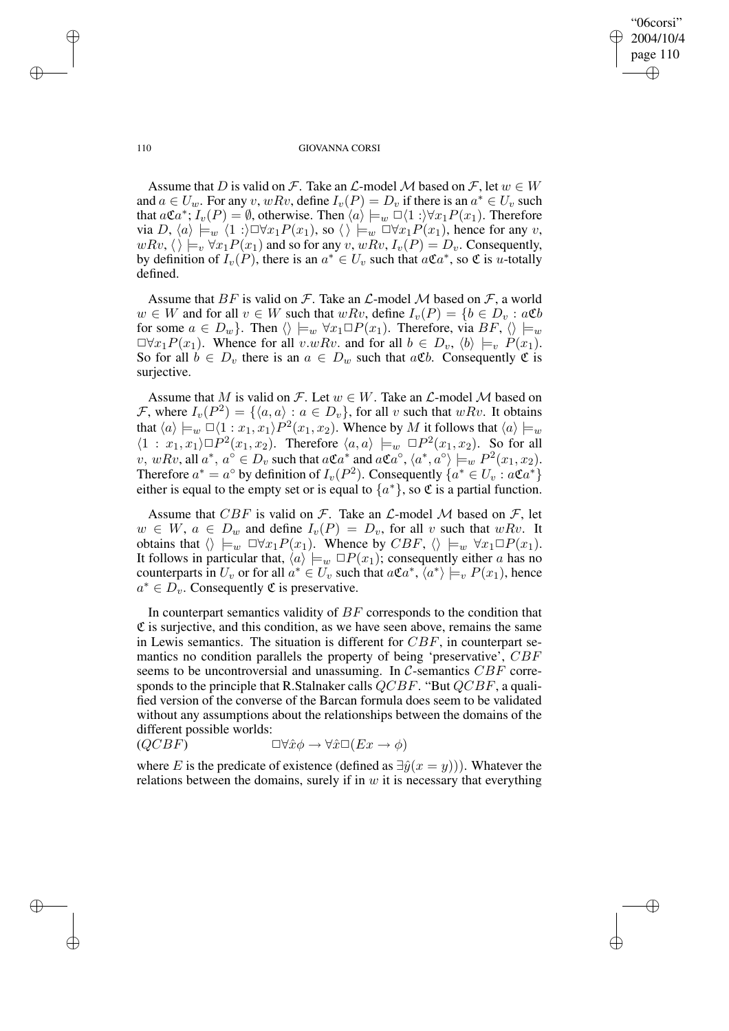"06corsi" 2004/10/4 page 110 ✐ ✐

✐

✐

#### 110 GIOVANNA CORSI

Assume that D is valid on F. Take an  $\mathcal L$ -model M based on F, let  $w \in W$ and  $a \in U_w$ . For any v, wRv, define  $I_v(P) = D_v$  if there is an  $a^* \in U_v$  such that  $a\mathfrak{C}a^*$ ;  $\overline{I}_v(P) = \emptyset$ , otherwise. Then  $\langle a \rangle \models_w \Box \langle 1 : \rangle \forall x_1 P(x_1)$ . Therefore via  $D, \langle a \rangle \models_w \langle 1 : \rangle \Box \forall x_1 P(x_1),$  so  $\langle \rangle \models_w \Box \forall x_1 P(x_1)$ , hence for any v,  $wRv, \langle \rangle \models_v \forall x_1P(x_1)$  and so for any  $v, wRv, I_v(P) = D_v$ . Consequently, by definition of  $I_v(P)$ , there is an  $a^* \in U_v$  such that  $a \mathfrak{C} a^*$ , so  $\mathfrak{C}$  is u-totally defined.

Assume that BF is valid on F. Take an  $\mathcal L$ -model M based on F, a world  $w \in W$  and for all  $v \in W$  such that  $wRv$ , define  $I_v(P) = \{b \in D_v : a\mathfrak{C}b\}$ for some  $a \in D_w$ . Then  $\langle \rangle \models_w \forall x_1 \Box P(x_1)$ . Therefore, via  $BF$ ,  $\langle \rangle \models_w$  $\Box \forall x_1 P(x_1)$ . Whence for all  $v.wRv$ . and for all  $b \in D_v$ ,  $\langle b \rangle \models_v P(x_1)$ . So for all  $b \in D_v$  there is an  $a \in D_w$  such that  $a \mathfrak{C}b$ . Consequently  $\mathfrak C$  is surjective.

Assume that M is valid on F. Let  $w \in W$ . Take an  $\mathcal{L}\text{-model } \mathcal{M}$  based on F, where  $I_v(P^2) = \{\langle a, a \rangle : a \in D_v\}$ , for all v such that  $wRv$ . It obtains that  $\langle a \rangle \models_w \Box \langle 1 : x_1, x_1 \rangle P^2(x_1, x_2)$ . Whence by M it follows that  $\langle a \rangle \models_w$  $\langle 1 : x_1, x_1 \rangle \Box P^2(x_1, x_2)$ . Therefore  $\langle a, a \rangle \models_w \Box P^2(x_1, x_2)$ . So for all v, wRv, all  $a^*$ ,  $a^{\circ} \in D_v$  such that  $a\mathfrak{C}a^*$  and  $a\mathfrak{C}a^{\circ}$ ,  $\langle a^*, a^{\circ} \rangle \models_w P^2(x_1, x_2)$ . Therefore  $a^* = a^{\circ}$  by definition of  $I_v(P^2)$ . Consequently  $\{a^* \in U_v : a\mathfrak{C}a^*\}$ either is equal to the empty set or is equal to  $\{a^*\}$ , so  $\mathfrak C$  is a partial function.

Assume that  $CBF$  is valid on  $F$ . Take an  $\mathcal{L}\text{-model } \mathcal{M}$  based on  $\mathcal{F}$ , let  $w \in W$ ,  $a \in D_w$  and define  $I_v(P) = D_v$ , for all v such that  $wRv$ . It obtains that  $\langle \rangle \models_w \Box \forall x_1 P(x_1)$ . Whence by  $CBF$ ,  $\langle \rangle \models_w \forall x_1 \Box P(x_1)$ . It follows in particular that,  $\langle a \rangle \models_w \Box P(x_1)$ ; consequently either a has no counterparts in  $U_v$  or for all  $a^* \in U_v$  such that  $a\mathfrak{C}a^*, \langle a^* \rangle \models_v P(x_1)$ , hence  $a^* \in \overline{D}_v$ . Consequently  $\mathfrak C$  is preservative.

In counterpart semantics validity of  $BF$  corresponds to the condition that  $\mathfrak C$  is surjective, and this condition, as we have seen above, remains the same in Lewis semantics. The situation is different for  $CBF$ , in counterpart semantics no condition parallels the property of being 'preservative', CBF seems to be uncontroversial and unassuming. In C-semantics CBF corresponds to the principle that R.Stalnaker calls  $QCBF$ . "But  $QCBF$ , a qualified version of the converse of the Barcan formula does seem to be validated without any assumptions about the relationships between the domains of the different possible worlds:

$$
(QCBF) \qquad \qquad \Box \forall \hat{x} \phi \to \forall \hat{x} \Box (Ex \to \phi)
$$

where E is the predicate of existence (defined as  $\exists \hat{y}(x = y)$ ). Whatever the relations between the domains, surely if in  $w$  it is necessary that everything

 $\rightarrow$ 

 $\rightarrow$ 

✐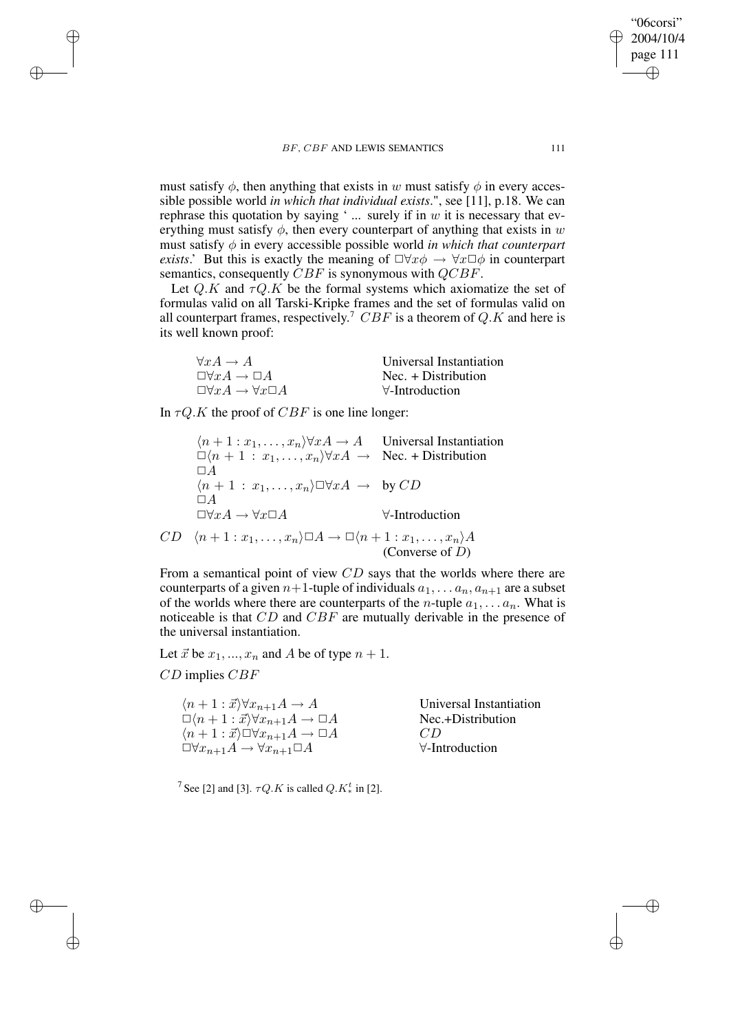must satisfy  $\phi$ , then anything that exists in w must satisfy  $\phi$  in every accessible possible world *in which that individual exists*.", see [11], p.18. We can rephrase this quotation by saying '... surely if in  $w$  it is necessary that everything must satisfy  $\phi$ , then every counterpart of anything that exists in w must satisfy φ in every accessible possible world *in which that counterpart exists*.' But this is exactly the meaning of  $\Box \forall x \phi \rightarrow \forall x \Box \phi$  in counterpart semantics, consequently CBF is synonymous with QCBF.

Let Q.K and  $\tau Q.K$  be the formal systems which axiomatize the set of formulas valid on all Tarski-Kripke frames and the set of formulas valid on all counterpart frames, respectively.<sup>7</sup>  $CBF$  is a theorem of Q.K and here is its well known proof:

| $\forall x A \rightarrow A$                     | Universal Instantiation |
|-------------------------------------------------|-------------------------|
| $\Box \forall x A \rightarrow \Box A$           | $Nec. + Distribution$   |
| $\Box \forall x A \rightarrow \forall x \Box A$ | $\forall$ -Introduction |

In  $\tau Q.K$  the proof of  $CBF$  is one line longer:

 $\langle n+1 : x_1, \ldots, x_n \rangle \forall x A \rightarrow A$  Universal Instantiation  $\Box(n + 1 : x_1, \ldots, x_n) \forall x A \rightarrow \text{Nec.} + \text{Distribution}$  $\Box A$  $\langle n+1 : x_1, \ldots, x_n \rangle \Box \forall x A \rightarrow \text{by } CD$  $\Box A$  $\Box \forall x A \rightarrow \forall x \Box A$   $\forall$ -Introduction  $CD \langle n+1 : x_1, \ldots, x_n \rangle \Box A \rightarrow \Box \langle n+1 : x_1, \ldots, x_n \rangle A$ (Converse of D)

From a semantical point of view CD says that the worlds where there are counterparts of a given  $n+1$ -tuple of individuals  $a_1, \ldots, a_n, a_{n+1}$  are a subset of the worlds where there are counterparts of the *n*-tuple  $a_1, \ldots a_n$ . What is noticeable is that CD and CBF are mutually derivable in the presence of the universal instantiation.

Let  $\vec{x}$  be  $x_1, ..., x_n$  and A be of type  $n + 1$ .

CD implies CBF

 $\rightarrow$ 

 $\rightarrow$ 

✐

✐

 $\langle n+1 : \vec{x} \rangle \forall x_{n+1}A \rightarrow A$ <br>  $\Box \langle n+1 : \vec{x} \rangle \forall x_{n+1}A \rightarrow \Box A$ <br>
Nec.+Distribution  $\Box(n+1 : \vec{x}) \forall x_{n+1} A \rightarrow \Box A$  Nec.<br>  $\langle n+1 : \vec{x} \rangle \Box \forall x_{n+1} A \rightarrow \Box A$  CD  $\langle n+1 : \vec{x} \rangle \Box \forall x_{n+1} A \to \Box A$ <br> $\Box \forall x_{n+1} A \to \forall x_{n+1} \Box A$   $\forall$ -Introduction  $\Box \forall x_{n+1}A \rightarrow \forall x_{n+1}\Box A$ 

<sup>7</sup> See [2] and [3].  $\tau Q.K$  is called  $Q.K_*^t$  in [2].

"06corsi" 2004/10/4 page 111

✐

✐

✐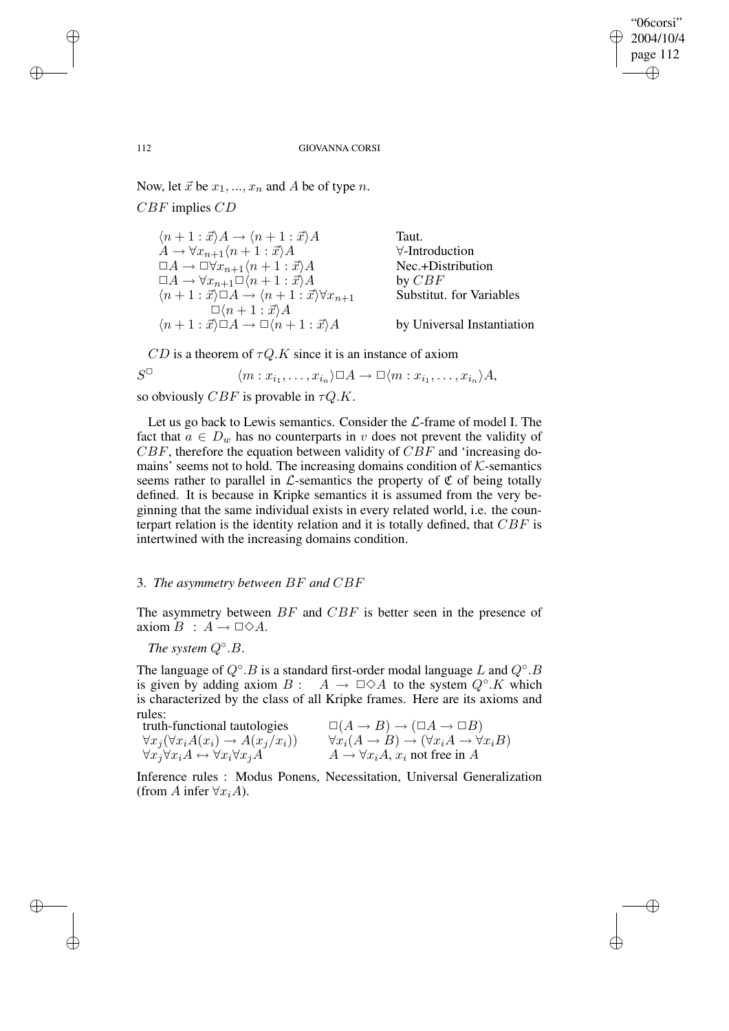"06corsi" 2004/10/4 page 112 ✐ ✐

✐

✐

#### 112 GIOVANNA CORSI

Now, let  $\vec{x}$  be  $x_1, ..., x_n$  and A be of type n.

CBF implies CD

| $\langle n+1:\vec{x}\rangle A \rightarrow \langle n+1:\vec{x}\rangle A$                    | Taut.                      |
|--------------------------------------------------------------------------------------------|----------------------------|
| $A \rightarrow \forall x_{n+1} \langle n+1 : \vec{x} \rangle A$                            | $\forall$ -Introduction    |
| $\Box A \rightarrow \Box \forall x_{n+1} \langle n+1 : \vec{x} \rangle A$                  | Nec.+Distribution          |
| $\Box A \rightarrow \forall x_{n+1} \Box (n+1 : \vec{x}) A$                                | by $CBF$                   |
| $\langle n+1:\vec{x}\rangle \Box A \rightarrow \langle n+1:\vec{x}\rangle \forall x_{n+1}$ | Substitut. for Variables   |
| $\Box\langle n+1:\vec{x}\rangle A$                                                         |                            |
| $\langle n+1:\vec{x}\rangle \Box A \rightarrow \Box \langle n+1:\vec{x}\rangle A$          | by Universal Instantiation |

 $CD$  is a theorem of  $\tau Q.K$  since it is an instance of axiom

$$
S^{\Box} \qquad \langle m : x_{i_1}, \dots, x_{i_n} \rangle \Box A \to \Box \langle m : x_{i_1}, \dots, x_{i_n} \rangle A,
$$

so obviously CBF is provable in  $\tau Q.K$ .

Let us go back to Lewis semantics. Consider the  $\mathcal{L}\text{-frame}$  of model I. The fact that  $a \in D_w$  has no counterparts in v does not prevent the validity of  $CBF$ , therefore the equation between validity of  $CBF$  and 'increasing domains' seems not to hold. The increasing domains condition of  $K$ -semantics seems rather to parallel in  $\mathcal{L}$ -semantics the property of  $\mathfrak C$  of being totally defined. It is because in Kripke semantics it is assumed from the very beginning that the same individual exists in every related world, i.e. the counterpart relation is the identity relation and it is totally defined, that  $CBF$  is intertwined with the increasing domains condition.

## 3. *The asymmetry between* BF *and* CBF

The asymmetry between  $BF$  and  $CBF$  is better seen in the presence of axiom  $B : A \rightarrow \Box \Diamond A$ .

*The system* Q◦ .B.

The language of  $Q^\circ$ . B is a standard first-order modal language L and  $Q^\circ$ . B is given by adding axiom  $B: A \to \Box \Diamond A$  to the system  $Q^{\circ}.K$  which is characterized by the class of all Kripke frames. Here are its axioms and rules:

| $\cdots$<br>truth-functional tautologies                              | $\Box(A \to B) \to (\Box A \to \Box B)$                                              |
|-----------------------------------------------------------------------|--------------------------------------------------------------------------------------|
| $\forall x_j (\forall x_i A(x_i) \rightarrow A(x_j/x_i))$             | $\forall x_i(A \rightarrow B) \rightarrow (\forall x_i A \rightarrow \forall x_i B)$ |
| $\forall x_j \forall x_i A \leftrightarrow \forall x_i \forall x_j A$ | $A \rightarrow \forall x_i A, x_i$ not free in A                                     |

Inference rules : Modus Ponens, Necessitation, Universal Generalization (from A infer  $\forall x_i A$ ).

 $\rightarrow$ 

 $\rightarrow$ 

✐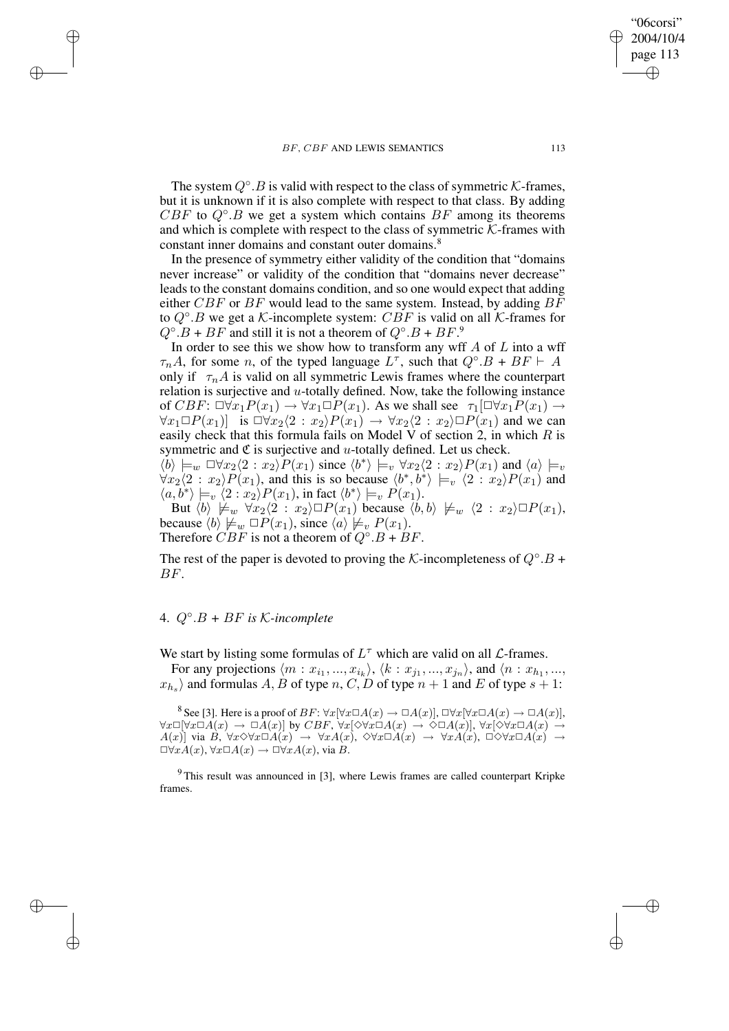The system  $Q^{\circ}$ . B is valid with respect to the class of symmetric K-frames, but it is unknown if it is also complete with respect to that class. By adding  $CBF$  to  $Q^{\circ}.B$  we get a system which contains  $BF$  among its theorems and which is complete with respect to the class of symmetric  $K$ -frames with constant inner domains and constant outer domains.<sup>8</sup>

In the presence of symmetry either validity of the condition that "domains never increase" or validity of the condition that "domains never decrease" leads to the constant domains condition, and so one would expect that adding either  $CBF$  or  $BF$  would lead to the same system. Instead, by adding  $BF$ to  $Q^{\circ}.B$  we get a K-incomplete system:  $CBF$  is valid on all K-frames for  $Q^{\circ}.B + BF$  and still it is not a theorem of  $Q^{\circ}.B + BF^{\circ}$ 

In order to see this we show how to transform any wff  $A$  of  $L$  into a wff  $\tau_n A$ , for some n, of the typed language  $L^{\tau}$ , such that  $Q^{\circ}.B + BF \vdash A$ only if  $\tau_n A$  is valid on all symmetric Lewis frames where the counterpart relation is surjective and  $u$ -totally defined. Now, take the following instance of CBF:  $\Box \forall x_1 P(x_1) \rightarrow \forall x_1 \Box P(x_1)$ . As we shall see  $\tau_1[\Box \forall x_1 P(x_1) \rightarrow$  $\forall x_1 \Box P(x_1)$  is  $\Box \forall x_2 \langle 2 : x_2 \rangle P(x_1) \rightarrow \forall x_2 \langle 2 : x_2 \rangle \Box P(x_1)$  and we can easily check that this formula fails on Model V of section 2, in which  $R$  is symmetric and  $\mathfrak C$  is surjective and u-totally defined. Let us check.

 $\langle b \rangle \models_w \Box \forall x_2 \langle 2 : x_2 \rangle P(x_1)$  since  $\langle b^* \rangle \models_v \forall x_2 \langle 2 : x_2 \rangle P(x_1)$  and  $\langle a \rangle \models_v$  $\forall x_2 \langle 2 : x_2 \rangle P(x_1)$ , and this is so because  $\langle b^*, b^* \rangle \models_v \langle 2 : x_2 \rangle P(x_1)$  and  $\langle a, b^* \rangle \models_v \langle 2 : x_2 \rangle P(x_1)$ , in fact  $\langle b^* \rangle \models_v P(x_1)$ .

But  $\langle b \rangle \not\models w \forall x_2\langle 2 : x_2\rangle \Box P(x_1)$  because  $\langle b, b \rangle \not\models w \langle 2 : x_2\rangle \Box P(x_1),$ because  $\langle b \rangle \not\models_w \Box P(x_1)$ , since  $\langle a \rangle \not\models_v P(x_1)$ . Therefore  $CBF$  is not a theorem of  $Q^{\circ}.B + BF$ .

The rest of the paper is devoted to proving the K-incompleteness of  $Q^{\circ}.B$  + BF.

# 4. Q◦ .B *+* BF *is* K*-incomplete*

 $\rightarrow$ 

 $\rightarrow$ 

✐

✐

We start by listing some formulas of  $L^{\tau}$  which are valid on all  $\mathcal{L}$ -frames.

For any projections  $\langle m : x_{i_1}, ..., x_{i_k} \rangle$ ,  $\langle k : x_{j_1}, ..., x_{j_n} \rangle$ , and  $\langle n : x_{h_1}, ...,$  $x_{h_s}$  and formulas  $A, B$  of type  $n, C, D$  of type  $n + 1$  and  $E$  of type  $s + 1$ :

<sup>8</sup> See [3]. Here is a proof of  $BF: \forall x[\forall x \Box A(x) \rightarrow \Box A(x)], \Box \forall x[\forall x \Box A(x) \rightarrow \Box A(x)],$  $\forall x \Box [\forall x \Box A(x) \rightarrow \Box \overline{A}(x)]$  by  $CBF$ ,  $\forall x [\Diamond \forall x \Box A(x) \rightarrow \Diamond \Box A(x)]$ ,  $\forall x [\Diamond \forall x \Box A(x) \rightarrow \Diamond \Box A(x)]$  $A(x)$ ] via B,  $\forall x \Diamond \forall x \Box A(x) \rightarrow \forall x A(x), \Diamond \forall x \Box A(x) \rightarrow \forall x A(x), \Box \Diamond \forall x \Box A(x) \rightarrow \Diamond$  $\Box \forall x A(x), \forall x \Box A(x) \rightarrow \Box \forall x A(x),$  via B.

<sup>9</sup> This result was announced in [3], where Lewis frames are called counterpart Kripke frames.

"06corsi" 2004/10/4 page 113

✐

✐

✐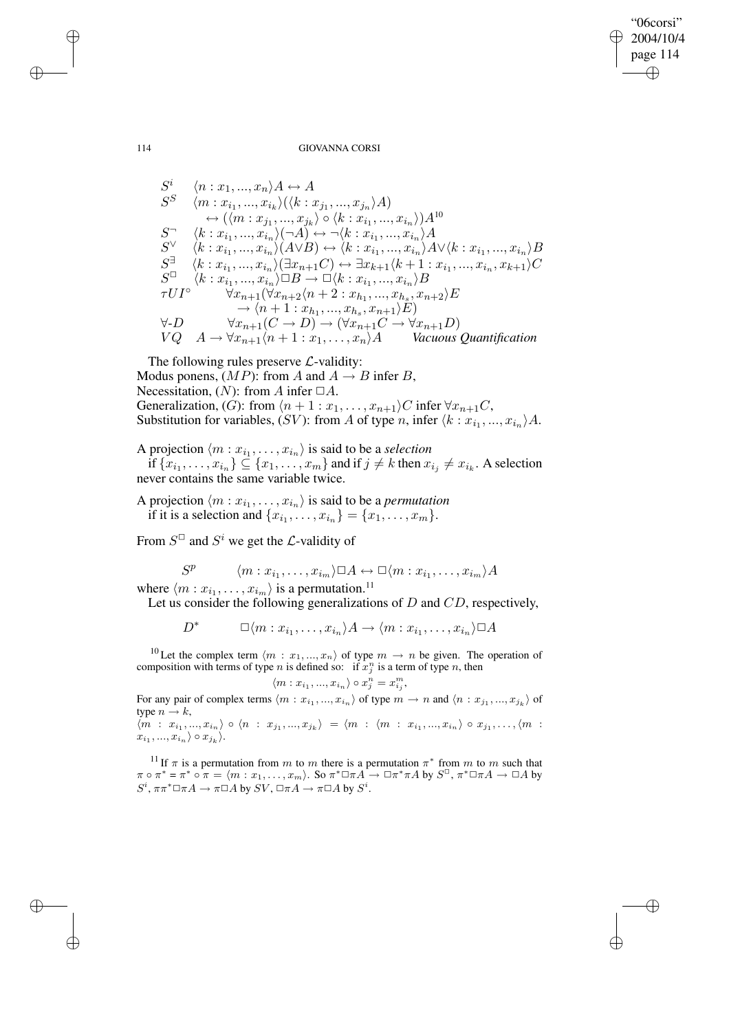"06corsi" 2004/10/4 page 114 ✐ ✐

✐

✐

#### 114 GIOVANNA CORSI

$$
S^i \quad \langle n: x_1, ..., x_n \rangle A \leftrightarrow A
$$
  
\n
$$
S^S \quad \langle m: x_{i_1}, ..., x_{i_k} \rangle (\langle k: x_{j_1}, ..., x_{j_n} \rangle A)
$$
  
\n
$$
\leftrightarrow (\langle m: x_{j_1}, ..., x_{j_k} \rangle \circ \langle k: x_{i_1}, ..., x_{i_n} \rangle) A^{10}
$$
  
\n
$$
S^{\neg} \quad \langle k: x_{i_1}, ..., x_{i_n} \rangle (\neg A) \leftrightarrow \neg \langle k: x_{i_1}, ..., x_{i_n} \rangle A
$$
  
\n
$$
S^{\vee} \quad \langle k: x_{i_1}, ..., x_{i_n} \rangle (A \vee B) \leftrightarrow \langle k: x_{i_1}, ..., x_{i_n} \rangle A \vee \langle k: x_{i_1}, ..., x_{i_n} \rangle B
$$
  
\n
$$
S^{\exists} \quad \langle k: x_{i_1}, ..., x_{i_n} \rangle (\exists x_{n+1}C) \leftrightarrow \exists x_{k+1} \langle k+1: x_{i_1}, ..., x_{i_n}, x_{k+1} \rangle C
$$
  
\n
$$
S^{\Box} \quad \langle k: x_{i_1}, ..., x_{i_n} \rangle \Box B \rightarrow \Box \langle k: x_{i_1}, ..., x_{i_n} \rangle B
$$
  
\n
$$
\tau U I^{\circ} \quad \forall x_{n+1} (\forall x_{n+2} \langle n+2: x_{h_1}, ..., x_{h_s}, x_{n+2} \rangle E
$$
  
\n
$$
\rightarrow \langle n+1: x_{h_1}, ..., x_{h_s}, x_{h+1} \rangle E)
$$
  
\n
$$
\forall D \quad \forall x_{n+1} (C \rightarrow D) \rightarrow (\forall x_{n+1}C \rightarrow \forall x_{n+1}D)
$$
  
\n
$$
VQ \quad A \rightarrow \forall x_{n+1} \langle n+1: x_1, ..., x_n \rangle A \quad \text{Vacuous Quantification}
$$

The following rules preserve  $\mathcal{L}$ -validity: Modus ponens,  $(MP)$ : from A and  $A \rightarrow B$  infer B, Necessitation,  $(N)$ : from A infer  $\Box A$ . Generalization, (G): from  $\langle n + 1 : x_1, \ldots, x_{n+1} \rangle C$  infer  $\forall x_{n+1}C$ ,

Substitution for variables, (SV): from A of type n, infer  $\langle k : x_{i_1}, ..., x_{i_n} \rangle A$ .

A projection  $\langle m : x_{i_1}, \ldots, x_{i_n} \rangle$  is said to be a *selection* 

if  $\{x_{i_1}, \ldots, x_{i_n}\} \subseteq \{x_1, \ldots, x_m\}$  and if  $j \neq k$  then  $x_{i_j} \neq x_{i_k}$ . A selection never contains the same variable twice.

A projection  $\langle m : x_{i_1}, \ldots, x_{i_n} \rangle$  is said to be a *permutation* if it is a selection and  $\{x_{i_1}, \ldots, x_{i_n}\} = \{x_1, \ldots, x_m\}.$ 

From  $S^{\Box}$  and  $S^i$  we get the *L*-validity of

$$
S^{p} \qquad \langle m : x_{i_1}, \dots, x_{i_m} \rangle \Box A \leftrightarrow \Box \langle m : x_{i_1}, \dots, x_{i_m} \rangle A
$$

where  $\langle m : x_{i_1}, \ldots, x_{i_m} \rangle$  is a permutation.<sup>11</sup>

Let us consider the following generalizations of  $D$  and  $CD$ , respectively,

 $D^*$   $\Box \langle m : x_{i_1}, \ldots, x_{i_n} \rangle A \rightarrow \langle m : x_{i_1}, \ldots, x_{i_n} \rangle \Box A$ 

<sup>10</sup> Let the complex term  $\langle m : x_1, ..., x_n \rangle$  of type  $m \to n$  be given. The operation of composition with terms of type *n* is defined so: if  $x_j^n$  is a term of type *n*, then

$$
\langle m : x_{i_1}, ..., x_{i_n} \rangle \circ x_j^n = x_{i_j}^m,
$$

For any pair of complex terms  $\langle m : x_{i_1},...,x_{i_n} \rangle$  of type  $m \to n$  and  $\langle n : x_{j_1},...,x_{j_k} \rangle$  of type  $n \rightarrow k$ ,

 $\langle m : x_{i_1},...,x_{i_n} \rangle \circ \langle n : x_{j_1},...,x_{j_k} \rangle = \langle m : \langle m : x_{i_1},...,x_{i_n} \rangle \circ x_{j_1},...,\langle m : x_{j_k},...,x_{j_k} \rangle$  $x_{i_1},...,x_{i_n}\rangle \circ x_{j_k}\rangle.$ 

<sup>11</sup> If  $\pi$  is a permutation from m to m there is a permutation  $\pi^*$  from m to m such that  $\pi \circ \pi^* = \pi^* \circ \pi = \langle m : x_1, \ldots, x_m \rangle$ . So  $\pi^* \Box \pi A \rightarrow \Box \pi^* \pi A$  by  $S^{\Box}$ ,  $\pi^* \Box \pi A \rightarrow \Box A$  by  $S^i$ ,  $\pi \pi^* \Box \pi A \to \pi \Box A$  by  $SV$ ,  $\Box \pi A \to \pi \Box A$  by  $S^i$ .

 $\rightarrow$ 

 $\rightarrow$ 

✐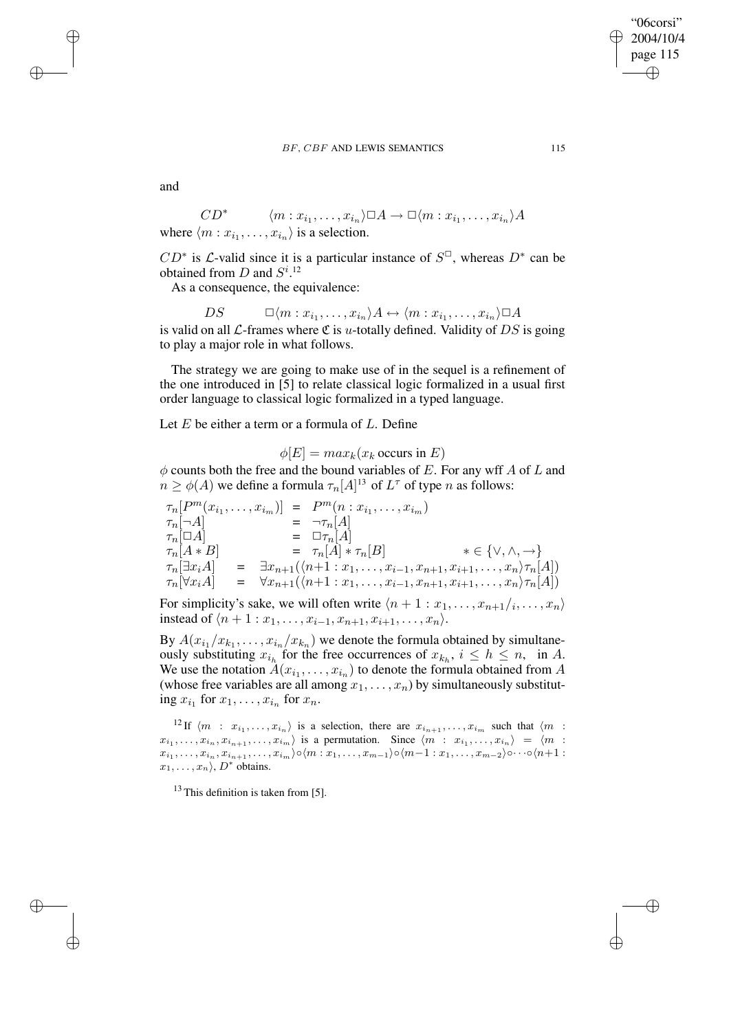"06corsi" 2004/10/4 page 115 ✐ ✐

✐

✐

and

 $\rightarrow$ 

 $\rightarrow$ 

✐

✐

$$
CD^* \qquad \langle m : x_{i_1}, \dots, x_{i_n} \rangle \square A \longrightarrow \square \langle m : x_{i_1}, \dots, x_{i_n} \rangle A
$$
  
where  $\langle m : x_{i_1}, \dots, x_{i_n} \rangle$  is a selection.

 $CD^*$  is  $\mathcal{L}$ -valid since it is a particular instance of  $S^{\Box}$ , whereas  $D^*$  can be obtained from  $D$  and  $S^{i}$ .<sup>12</sup>

As a consequence, the equivalence:

 $DS \qquad \Box \langle m : x_{i_1}, \ldots, x_{i_n} \rangle A \leftrightarrow \langle m : x_{i_1}, \ldots, x_{i_n} \rangle \Box A$ is valid on all  $\mathcal{L}\text{-frames}$  where  $\mathfrak{C}$  is u-totally defined. Validity of DS is going to play a major role in what follows.

The strategy we are going to make use of in the sequel is a refinement of the one introduced in [5] to relate classical logic formalized in a usual first order language to classical logic formalized in a typed language.

Let  $E$  be either a term or a formula of  $L$ . Define

 $\phi[E] = max_k(x_k)$  occurs in E)

 $\phi$  counts both the free and the bound variables of E. For any wff A of L and  $n \ge \phi(A)$  we define a formula  $\tau_n[A]^{13}$  of  $L^{\tau}$  of type n as follows:

$$
\tau_n[P^m(x_{i_1},...,x_{i_m})] = P^m(n:x_{i_1},...,x_{i_m})
$$
\n
$$
\tau_n[\neg A]
$$
\n
$$
= \neg \tau_n[A]
$$
\n
$$
\tau_n[\Box A]
$$
\n
$$
= \Box \tau_n[A]
$$
\n
$$
\tau_n[A * B]
$$
\n
$$
= \tau_n[A] * \tau_n[B] \qquad * \in \{\vee, \wedge, \to\}
$$
\n
$$
\tau_n[\exists x_i A] = \exists x_{n+1}(\langle n+1:x_1,...,x_{i-1},x_{n+1},x_{i+1},...,x_n \rangle \tau_n[A])
$$
\n
$$
\tau_n[\forall x_i A] = \forall x_{n+1}(\langle n+1:x_1,...,x_{i-1},x_{n+1},x_{i+1},...,x_n \rangle \tau_n[A])
$$

For simplicity's sake, we will often write  $\langle n + 1 : x_1, \ldots, x_{n+1}/i, \ldots, x_n \rangle$ instead of  $\langle n + 1 : x_1, \ldots, x_{i-1}, x_{n+1}, x_{i+1}, \ldots, x_n \rangle$ .

By  $A(x_{i_1}/x_{k_1},...,x_{i_n}/x_{k_n})$  we denote the formula obtained by simultaneously substituting  $x_{i_h}$  for the free occurrences of  $x_{k_h}$ ,  $i \leq h \leq n$ , in A. We use the notation  $A(x_{i_1},...,x_{i_n})$  to denote the formula obtained from A (whose free variables are all among  $x_1, \ldots, x_n$ ) by simultaneously substituting  $x_{i_1}$  for  $x_1, \ldots, x_{i_n}$  for  $x_n$ .

<sup>12</sup> If  $\langle m : x_{i_1}, \ldots, x_{i_n} \rangle$  is a selection, there are  $x_{i_{n+1}}, \ldots, x_{i_m}$  such that  $\langle m : x_{i_1}, \ldots, x_{i_n} \rangle$  $x_{i_1}, \ldots, x_{i_n}, x_{i_{n+1}}, \ldots, x_{i_m}$  is a permutation. Since  $\langle m : x_{i_1}, \ldots, x_{i_n} \rangle = \langle m : x_{i_1}, \ldots, x_{i_n} \rangle$  $x_{i_1},\ldots,x_{i_n},x_{i_{n+1}},\ldots,x_{i_m}\rangle \circ \langle m:x_1,\ldots,x_{m-1}\rangle \circ \langle m{-}1:x_1,\ldots,x_{m-2}\rangle \circ \cdots \circ \langle n{+}1:x_1,\ldots,x_{m-1}\rangle$  $x_1, \ldots, x_n$ ,  $D^*$  obtains.

 $13$  This definition is taken from [5].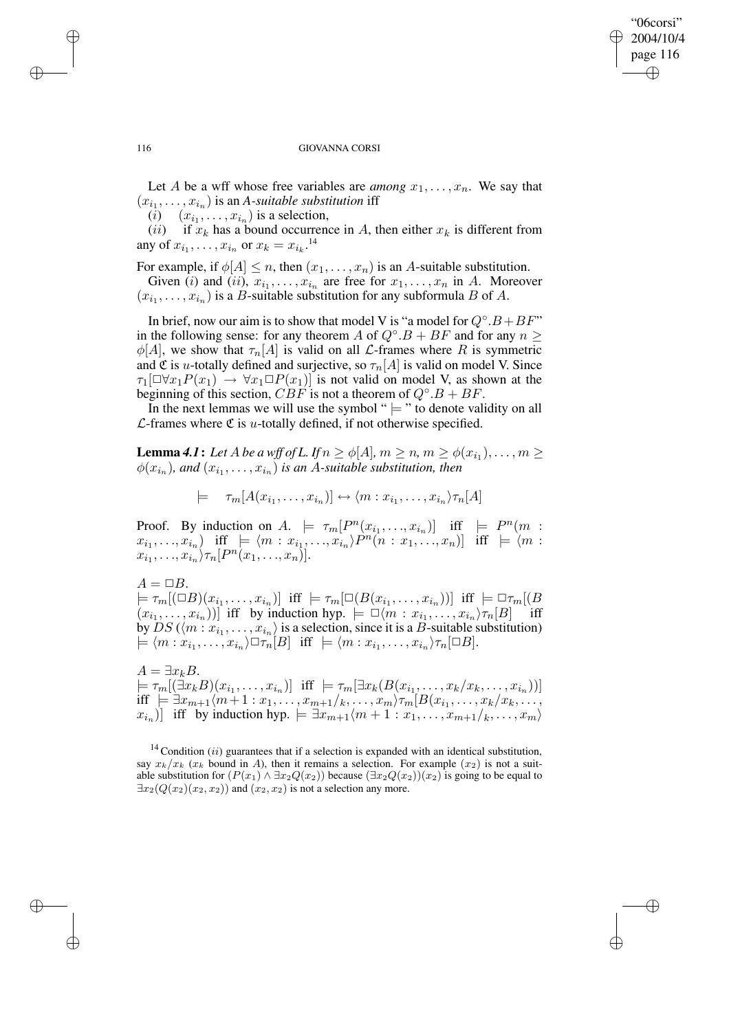## "06corsi" 2004/10/4 page 116 ✐ ✐

✐

✐

#### 116 GIOVANNA CORSI

Let A be a wff whose free variables are *among*  $x_1, \ldots, x_n$ . We say that  $(x_{i_1}, \ldots, x_{i_n})$  is an *A-suitable substitution* iff

 $(i)$   $(x_{i_1}, \ldots, x_{i_n})$  is a selection,

(*ii*) if  $x_k$  has a bound occurrence in A, then either  $x_k$  is different from any of  $x_{i_1}, \ldots, x_{i_n}$  or  $x_k = x_{i_k}$ .<sup>14</sup>

For example, if  $\phi[A] \leq n$ , then  $(x_1, \ldots, x_n)$  is an A-suitable substitution.

Given (i) and (ii),  $x_{i_1}, \ldots, x_{i_n}$  are free for  $x_1, \ldots, x_n$  in A. Moreover  $(x_{i_1}, \ldots, x_{i_n})$  is a *B*-suitable substitution for any subformula *B* of *A*.

In brief, now our aim is to show that model V is "a model for  $Q^{\circ}.B + BF$ " in the following sense: for any theorem A of  $Q^{\circ}.B + BF$  and for any  $n \geq 1$  $\phi[A]$ , we show that  $\tau_n[A]$  is valid on all *L*-frames where *R* is symmetric and C is u-totally defined and surjective, so  $\tau_n[A]$  is valid on model V. Since  $\tau_1[\Box \forall x_1P(x_1) \rightarrow \forall x_1 \Box P(x_1)]$  is not valid on model V, as shown at the beginning of this section,  $CBF$  is not a theorem of  $Q^{\circ}.B + BF$ .

In the next lemmas we will use the symbol " $\models$ " to denote validity on all  $\mathcal{L}$ -frames where  $\mathfrak{C}$  is *u*-totally defined, if not otherwise specified.

**Lemma 4.1:** Let  $A$  be a wff of L. If  $n \ge \phi[A]$ ,  $m \ge n$ ,  $m \ge \phi(x_{i_1}), \ldots, m \ge n$  $\phi(x_{i_n})$ , and  $(x_{i_1}, \ldots, x_{i_n})$  is an A-suitable substitution, then

$$
\models \tau_m[A(x_{i_1},\ldots,x_{i_n})] \leftrightarrow \langle m:x_{i_1},\ldots,x_{i_n}\rangle \tau_n[A]
$$

Proof. By induction on  $A. \models \tau_m[P^n(x_{i_1},...,x_{i_n})]$  iff  $\models P^n(m :$  $(x_{i_1},...,x_{i_n})$  iff  $\models \langle m:x_{i_1},...,x_{i_n}\rangle P^n(n:x_1,...,x_n)]$  iff  $\models \langle m:n\rangle$  $x_{i_1},\ldots,x_{i_n}\rangle\tau_n[P^n(x_1,\ldots,x_n)].$ 

 $A = \Box B$ .

 $\models \tau_m[(\Box B)(x_{i_1},\ldots,x_{i_n})]$  iff  $\models \tau_m[\Box(B(x_{i_1},\ldots,x_{i_n}))]$  iff  $\models \Box \tau_m[(B(x_{i_1},\ldots,x_{i_n}))]$  $(x_{i_1},...,x_{i_n})$ ] iff by induction hyp.  $\models \Box \langle m : x_{i_1},...,x_{i_n} \rangle \tau_n[B]$  iff by  $DS(\langle m : x_{i_1}, \ldots, x_{i_n} \rangle)$  is a selection, since it is a B-suitable substitution)  $\models \langle m : x_{i_1}, \ldots, x_{i_n} \rangle \Box \tau_n[E] \text{ iff } \models \langle m : x_{i_1}, \ldots, x_{i_n} \rangle \tau_n[\Box B].$ 

 $A = \exists x_k B.$  $\models \tau_m[(\exists x_k B)(x_{i_1},\ldots,x_{i_n})]$  iff  $\models \tau_m[\exists x_k(B(x_{i_1},\ldots,x_k/x_k,\ldots,x_{i_n}))]$ iff  $\varphi \equiv \exists x_{m+1}(m+1 : x_1, \ldots, x_{m+1}/k, \ldots, x_m) \tau_m[B(x_{i_1}, \ldots, x_k/x_k, \ldots, x_m)]$  $(x_{i_n})$  iff by induction hyp.  $\models \exists x_{m+1}\langle m+1:x_1,\ldots,x_{m+1}\rangle_k,\ldots,x_m\rangle$ 

 $14$  Condition (*ii*) guarantees that if a selection is expanded with an identical substitution, say  $x_k/x_k$  ( $x_k$  bound in A), then it remains a selection. For example  $(x_2)$  is not a suitable substitution for  $(P(x_1) \wedge \exists x_2 Q(x_2))$  because  $(\exists x_2 Q(x_2))(x_2)$  is going to be equal to  $\exists x_2(Q(x_2)(x_2, x_2))$  and  $(x_2, x_2)$  is not a selection any more.

 $\rightarrow$ 

 $\rightarrow$ 

✐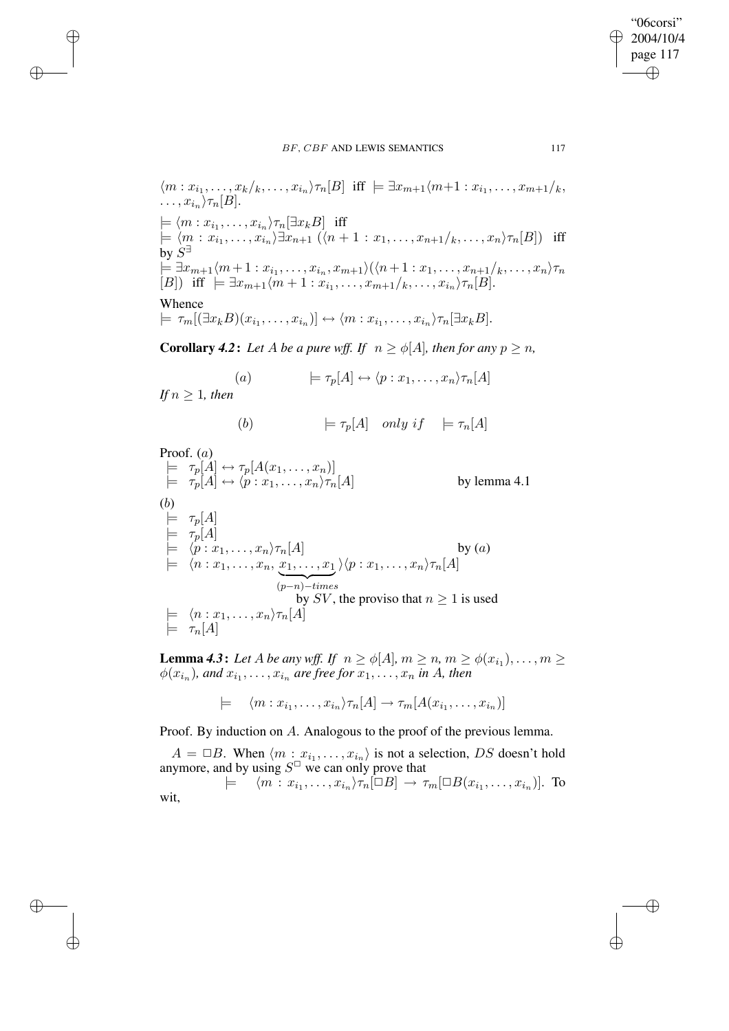$$
\langle m: x_{i_1}, \ldots, x_k \rangle_{\tau_n}[B] \text{ iff } \models \exists x_{m+1} \langle m+1: x_{i_1}, \ldots, x_{m+1} \rangle_k,
$$
  
\n
$$
\ldots, x_{i_n} \rangle_{\tau_n}[B].
$$
  
\n
$$
\models \langle m: x_{i_1}, \ldots, x_{i_n} \rangle_{\tau_n}[\exists x_k B] \text{ iff}
$$
  
\n
$$
\models \langle m: x_{i_1}, \ldots, x_{i_n} \rangle \exists x_{n+1} \ (\langle n+1: x_1, \ldots, x_{n+1} \rangle_k, \ldots, x_n \rangle_{\tau_n}[B]) \text{ iff}
$$
  
\nby  $S^{\exists}$   
\n
$$
\models \exists x_{m+1} \langle m+1: x_{i_1}, \ldots, x_{i_n}, x_{m+1} \rangle (\langle n+1: x_1, \ldots, x_{n+1} \rangle_k, \ldots, x_n \rangle_{\tau_n}[B])
$$
  
\n
$$
\text{ iff } \models \exists x_{m+1} \langle m+1: x_{i_1}, \ldots, x_{m+1} \rangle_k, \ldots, x_{i_n} \rangle_{\tau_n}[B].
$$

Whence

 $\rightarrow$ 

 $\rightarrow$ 

✐

✐

 $\models \tau_m[(\exists x_k B)(x_{i_1},\ldots,x_{i_n})] \leftrightarrow \langle m:x_{i_1},\ldots,x_{i_n}\rangle \tau_n[\exists x_k B].$ 

**Corollary** 4.2: Let A be a pure wff. If  $n \ge \phi[A]$ , then for any  $p \ge n$ ,

(a) 
$$
\models \tau_p[A] \leftrightarrow \langle p : x_1, \dots, x_n \rangle \tau_n[A]
$$

*If*  $n \geq 1$ *, then* 

(b) 
$$
\models \tau_p[A]
$$
 only if  $\models \tau_n[A]$ 

Proof. (a)  
\n
$$
\begin{array}{ll}\n\vdash & \tau_p[A] \leftrightarrow \tau_p[A(x_1, \ldots, x_n)] \\
\vdash & \tau_p[A] \leftrightarrow \langle p : x_1, \ldots, x_n \rangle \tau_n[A] & \text{by lemma 4.1} \\
(b) & \vdash & \tau_p[A] \\
\vdash & \tau_p[A] & \vdash & \tau_p[A] \\
\vdash & \langle p : x_1, \ldots, x_n \rangle \tau_n[A] & \text{by (a)} \\
\vdash & \langle n : x_1, \ldots, x_n, \underbrace{x_1, \ldots, x_1}_{(p-n)-times} \rangle \langle p : x_1, \ldots, x_n \rangle \tau_n[A] & \text{by } SV \\
&\downarrow & \text{by } SV, \text{ the proviso that } n \geq 1 \text{ is used} \\
\vdash & \langle n : x_1, \ldots, x_n \rangle \tau_n[A] & \vdash & \tau_n[A]\n\end{array}
$$

**Lemma 4.3:** Let A be any wff. If  $n \ge \phi[A], m \ge n, m \ge \phi(x_{i_1}), \ldots, m \ge$  $\phi(x_{i_n})$ , and  $x_{i_1}, \ldots, x_{i_n}$  are free for  $x_1, \ldots, x_n$  in A, then

 $\models \langle m : x_{i_1}, \ldots, x_{i_n} \rangle \tau_n[A] \rightarrow \tau_m[A(x_{i_1}, \ldots, x_{i_n})]$ 

Proof. By induction on A. Analogous to the proof of the previous lemma.

 $A = \Box B$ . When  $\langle m : x_{i_1}, \ldots, x_{i_n} \rangle$  is not a selection, DS doesn't hold anymore, and by using  $S^{\Box}$  we can only prove that

 $\models \langle m : x_{i_1}, \ldots, x_{i_n} \rangle \tau_n[\Box B] \to \tau_m[\Box B(x_{i_1}, \ldots, x_{i_n})]$ . To wit,

"06corsi" 2004/10/4 page 117

✐

✐

✐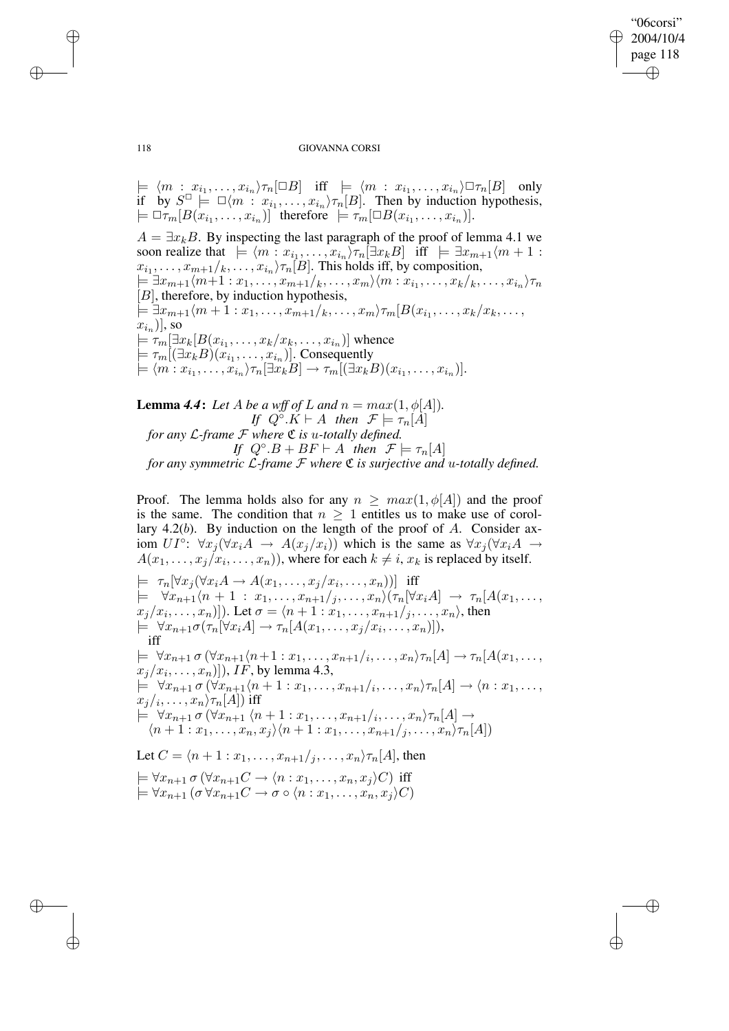"06corsi" 2004/10/4 page 118 ✐ ✐

✐

✐

### 118 GIOVANNA CORSI

 $\models \langle m : x_{i_1}, \ldots, x_{i_n} \rangle \tau_n[\Box B]$  iff  $\models \langle m : x_{i_1}, \ldots, x_{i_n} \rangle \Box \tau_n[B]$  only if by  $S^{\Box} \models \Box \langle m : x_{i_1}, \ldots, x_{i_n} \rangle \tau_n[B]$ . Then by induction hypothesis,  $\models \Box \tau_m[B(x_{i_1},\ldots,x_{i_n})]$  therefore  $\models \tau_m[\Box B(x_{i_1},\ldots,x_{i_n})]$ .

 $A = \exists x_k B$ . By inspecting the last paragraph of the proof of lemma 4.1 we soon realize that  $\models \langle m : x_{i_1}, \ldots, x_{i_n} \rangle \tau_n[\exists x_k B]$  iff  $\models \exists x_{m+1}\langle m+1 :$  $x_{i_1}, \ldots, x_{m+1}/_k, \ldots, x_{i_n} \rangle \tau_n[B]$ . This holds iff, by composition,  $\models \exists x_{m+1}\langle m+1:x_1,\ldots,x_{m+1}/_k,\ldots,x_m\rangle\langle m:x_{i_1},\ldots,x_k/_k,\ldots,x_{i_n}\rangle\tau_n$  $[B]$ , therefore, by induction hypothesis,  $\models \exists x_{m+1}\langle m+1:x_1,\ldots,x_{m+1}/_k,\ldots,x_m\rangle \tau_m[B(x_{i_1},\ldots,x_k/x_k,\ldots,x_n)]$  $x_{i_n})]$ , so  $\models \tau_m[\exists x_k[B(x_{i_1},\ldots,x_k/x_k,\ldots,x_{i_n})]$  whence  $\models \tau_m[(\exists x_k B)(x_{i_1}, \ldots, x_{i_n})]$ . Consequently  $\models \langle m : x_{i_1}, \ldots, x_{i_n} \rangle \tau_n[\exists x_k B] \rightarrow \tau_m[(\exists x_k B)(x_{i_1}, \ldots, x_{i_n})].$ 

**Lemma 4.4:** Let A be a wff of L and  $n = max(1, \phi[A]).$ *If*  $Q^{\circ} \cdot \tilde{K} \vdash A$  *then*  $\mathcal{F} \models \tau_n[A]$ *for any* L*-frame* F *where* C *is* u*-totally defined. If*  $Q^{\circ}.B + BF \vdash A$  *then*  $\mathcal{F} \models \tau_n[A]$ *for any symmetric* L*-frame* F *where* C *is surjective and* u*-totally defined.*

Proof. The lemma holds also for any  $n \geq max(1, \phi[A])$  and the proof is the same. The condition that  $n \geq 1$  entitles us to make use of corollary 4.2(b). By induction on the length of the proof of A. Consider axiom  $UI^{\circ}$ :  $\forall x_j (\forall x_i A \rightarrow A(x_j/x_i))$  which is the same as  $\forall x_j (\forall x_i A \rightarrow A(x_j/x_i))$  $A(x_1, \ldots, x_j/x_i, \ldots, x_n)$ , where for each  $k \neq i$ ,  $x_k$  is replaced by itself.  $\models \tau_n[\forall x_j(\forall x_i A \rightarrow A(x_1,\ldots,x_j/x_i,\ldots,x_n))]$  iff  $\models \forall x_{n+1}\langle n+1 : x_1,\ldots,x_{n+1}/j,\ldots,x_n\rangle (\tau_n[\forall x_iA]\rightarrow \tau_n[A(x_1,\ldots,x_n)]$  $\{x_j/x_i,\ldots,x_n)\}$ ). Let  $\sigma = \langle n+1:x_1,\ldots,x_{n+1}/_j,\ldots,x_n\rangle$ , then  $\models \forall x_{n+1}\sigma(\tau_n[\forall x_iA]\rightarrow \tau_n[A(x_1,\ldots,x_j/x_i,\ldots,x_n)]),$ iff  $\models \forall x_{n+1} \sigma (\forall x_{n+1}\langle n+1:x_1,\ldots,x_{n+1}/i,\ldots,x_n\rangle \tau_n[A]\rightarrow \tau_n[A(x_1,\ldots,x_n)]$  $[x_j/x_i, \ldots, x_n)]$ ),  $IF$ , by lemma 4.3,  $\models \forall x_{n+1} \sigma (\forall x_{n+1}\langle n+1:x_1,\ldots,x_{n+1}\rangle_i,\ldots,x_n\rangle \tau_n[A]\rightarrow \langle n:x_1,\ldots,x_n\rangle$  $x_j/_i,\ldots,x_n\rangle \tau_n[A])$  iff  $\models \forall x_{n+1} \sigma (\forall x_{n+1} \langle n+1:x_1,\ldots,x_{n+1}/i,\ldots,x_n \rangle \tau_n[A] \rightarrow$  $\langle n+1: x_1,\ldots,x_n,x_j\rangle\langle n+1: x_1,\ldots,x_{n+1}/j,\ldots,x_n\rangle\tau_n[A])$ Let  $C = \langle n+1 : x_1, \ldots, x_{n+1} / i, \ldots, x_n \rangle \tau_n[A]$ , then  $\models \forall x_{n+1} \sigma (\forall x_{n+1} C \rightarrow \langle n : x_1, \ldots, x_n, x_j \rangle C)$  iff  $\models \forall x_{n+1}$   $(\sigma \forall x_{n+1} C \rightarrow \sigma \circ (n : x_1, \ldots, x_n, x_i) C)$ 

 $\rightarrow$ 

 $\rightarrow$ 

✐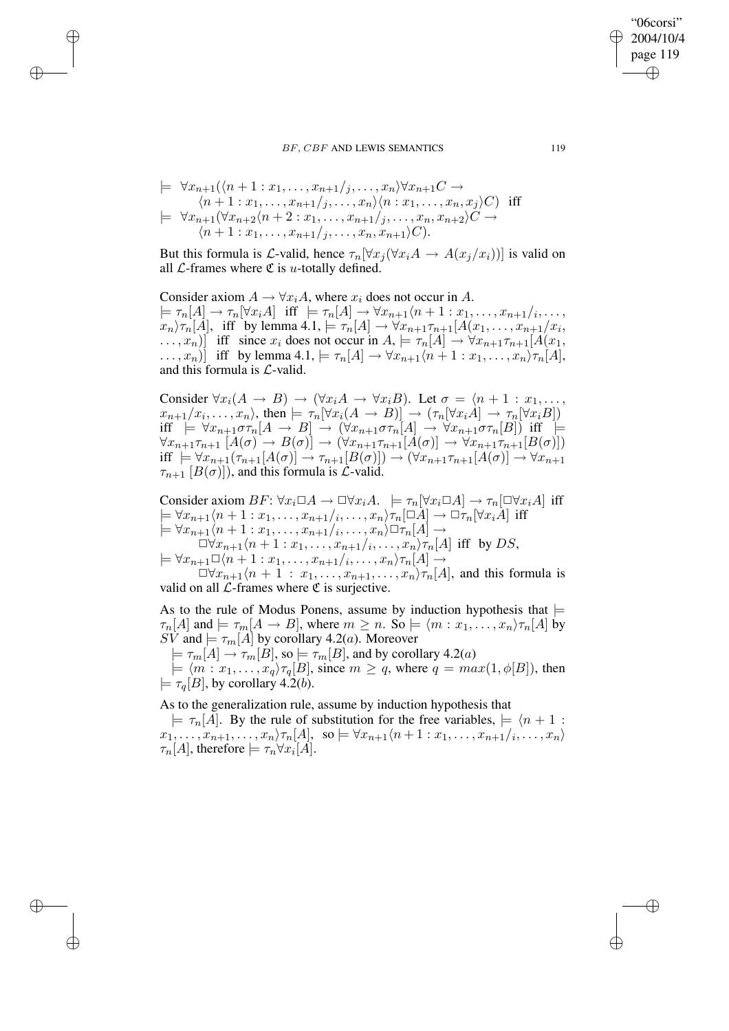$$
\models \forall x_{n+1}(\langle n+1:x_1,\ldots,x_{n+1}/j,\ldots,x_n\rangle \forall x_{n+1}C \rightarrow
$$
  
\n
$$
\langle n+1:x_1,\ldots,x_{n+1}/j,\ldots,x_n\rangle \langle n:x_1,\ldots,x_n,x_j\rangle C)
$$
 iff  
\n
$$
\models \forall x_{n+1}(\forall x_{n+2}\langle n+2:x_1,\ldots,x_{n+1}/j,\ldots,x_n,x_{n+2}\rangle C \rightarrow
$$
  
\n
$$
\langle n+1:x_1,\ldots,x_{n+1}/j,\ldots,x_n,x_{n+1}\rangle C).
$$

 $\rightarrow$ 

 $\rightarrow$ 

✐

✐

But this formula is L-valid, hence  $\tau_n[\forall x_i(\forall x_i A \rightarrow A(x_i/x_i))]$  is valid on all  $\mathcal{L}$ -frames where  $\mathfrak{C}$  is *u*-totally defined.

Consider axiom  $A \to \forall x_i A$ , where  $x_i$  does not occur in A.  $\models \tau_n[A] \rightarrow \tau_n[\forall x_i A] \text{ iff } \models \tau_n[A] \rightarrow \forall x_{n+1}\langle n+1:x_1,\ldots,x_{n+1}\rangle_i,\ldots,$  $x_n \rangle \tau_n[A]$ , iff by lemma  $4.1$ ,  $\models \tau_n[A] \rightarrow \forall x_{n+1} \tau_{n+1}[A(x_1, \ldots, x_{n+1}/x_i,$  $\dots, x_n$ ) iff since  $x_i$  does not occur in  $A \models \tau_n[A] \rightarrow \forall x_{n+1} \tau_{n+1}[A(x_1,$  $\dots, x_n$ )] iff by lemma 4.1,  $\models \tau_n[A] \rightarrow \forall x_{n+1}\langle n+1 : x_1, \dots, x_n \rangle \tau_n[A],$ and this formula is  $\mathcal{L}\text{-valid}$ .

Consider  $\forall x_i(A \rightarrow B) \rightarrow (\forall x_i A \rightarrow \forall x_i B)$ . Let  $\sigma = \langle n+1 : x_1, \ldots, x_n \rangle$  $x_{n+1}/x_i, \ldots, x_n$ , then  $\models \tau_n[\forall x_i(A \rightarrow B)] \rightarrow (\tau_n[\forall x_iA] \rightarrow \tau_n[\forall x_iB])$ iff  $\models \forall x_{n+1}\sigma\tau_n[A \rightarrow B] \rightarrow (\forall x_{n+1}\sigma\tau_n[A] \rightarrow \forall x_{n+1}\sigma\tau_n[B])$  iff  $\models$  $\forall x_{n+1}\tau_{n+1}\ [A(\sigma)\rightarrow B(\sigma)] \rightarrow (\forall x_{n+1}\tau_{n+1}[A(\sigma)] \rightarrow \forall x_{n+1}\tau_{n+1}[B(\sigma)])$ iff  $\models \forall x_{n+1}(\tau_{n+1}[A(\sigma)] \rightarrow \tau_{n+1}[B(\sigma)]) \rightarrow (\forall x_{n+1}\tau_{n+1}[A(\sigma)] \rightarrow \forall x_{n+1}$  $\tau_{n+1}$  [ $B(\sigma)$ ]), and this formula is  $\mathcal{L}$ -valid.

Consider axiom  $BF: \forall x_i \Box A \rightarrow \Box \forall x_i A$ .  $\models \tau_n[\forall x_i \Box A] \rightarrow \tau_n[\Box \forall x_i A]$  iff  $\models \forall x_{n+1}\langle n+1:x_1,\ldots,x_{n+1}/i,\ldots,x_n\rangle \tau_n[\Box A]\rightarrow \Box \tau_n[\forall x_iA]$  iff  $\models \forall x_{n+1}\langle n+1:x_1,\ldots,x_{n+1}\rangle, \ldots, x_n\rangle \Box \tau_n[A]\rightarrow$  $\Box \forall x_{n+1} \langle n+1 : x_1, \ldots, x_{n+1} \rangle_{i}, \ldots, x_n \rangle_{\tau_n}[A]$  iff by DS,  $\models \forall x_{n+1} \Box \langle n+1:x_1,\ldots,x_{n+1}/i,\ldots,x_n \rangle \tau_n[A] \rightarrow$  $\Box \forall x_{n+1}\langle n+1 : x_1,\ldots,x_{n+1},\ldots,x_n\rangle \tau_n[A]$ , and this formula is

valid on all  $\mathcal{L}$ -frames where  $\mathfrak C$  is surjective.

As to the rule of Modus Ponens, assume by induction hypothesis that  $\models$  $\tau_n[A]$  and  $\models \tau_m[A \rightarrow B]$ , where  $m \geq n$ . So  $\models \langle m : x_1, \ldots, x_n \rangle \tau_n[A]$  by SV and  $\models \tau_m[A]$  by corollary 4.2(*a*). Moreover

 $\models \tau_m[A] \rightarrow \tau_m[B],$  so  $\models \tau_m[B],$  and by corollary 4.2(a)

 $\models \langle m : x_1, \ldots, x_q \rangle \tau_q[B]$ , since  $m \ge q$ , where  $q = max(1, \phi[B])$ , then  $\models \tau_a[B]$ , by corollary 4.2(*b*).

As to the generalization rule, assume by induction hypothesis that

 $\models \tau_n[A]$ . By the rule of substitution for the free variables,  $\models \langle n + 1 :$  $x_1, \ldots, x_{n+1}, \ldots, x_n \rangle \tau_n[A], \text{ so } \models \forall x_{n+1} \langle n+1 : x_1, \ldots, x_{n+1} \rangle_i, \ldots, x_n \rangle$  $\tau_n[A]$ , therefore  $\models \tau_n \forall x_i[A]$ .

"06corsi" 2004/10/4 page 119

✐

✐

✐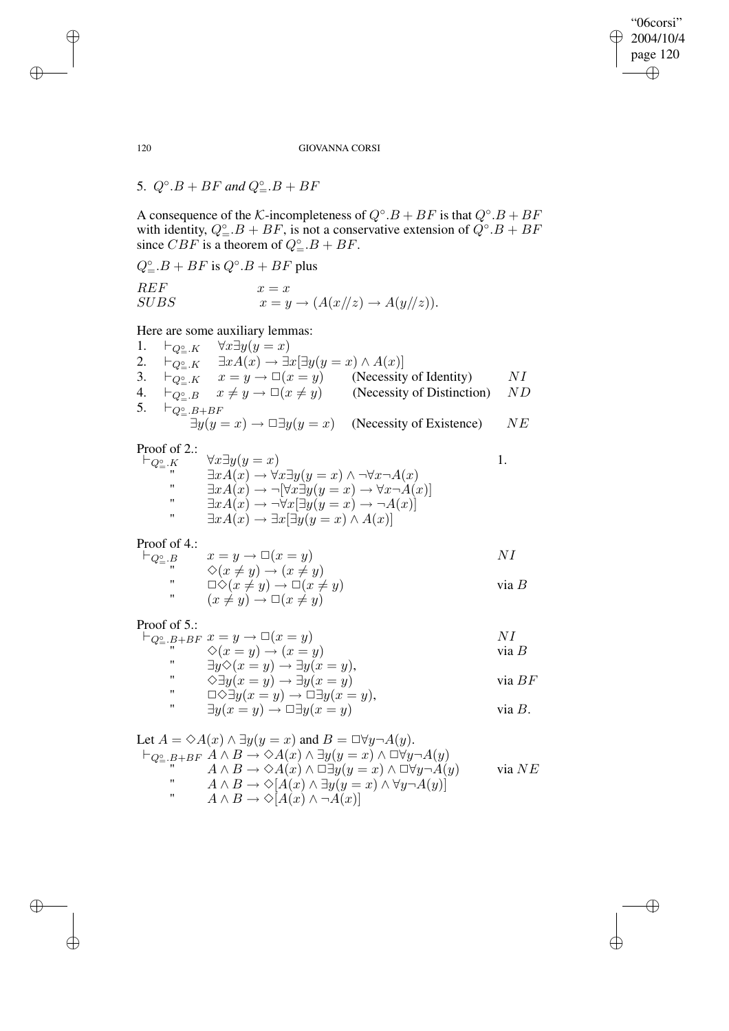"06corsi" 2004/10/4 page 120 ✐ ✐

✐

✐

120 GIOVANNA CORSI

5.  $Q^{\circ}.B + BF$  and  $Q^{\circ}_= .B + BF$ 

A consequence of the K-incompleteness of  $Q^\circ$ .  $B + BF$  is that  $Q^\circ$ .  $B + BF$ with identity,  $Q^{\circ}_{=}.B + BF$ , is not a conservative extension of  $Q^{\circ}.B + BF$ since  $CBF$  is a theorem of  $Q^{\circ}_{=} \cdot B + BF$ .

 $Q^{\circ}_{=} \cdot B + BF$  is  $Q^{\circ} \cdot B + BF$  plus REF<br>SUBS  $x = x$ <br> $x = y$  $x = y \rightarrow (A(x/\sqrt{z}) \rightarrow A(y/\sqrt{z})).$ 

# Here are some auxiliary lemmas:

1.  $\vdash_{Q_{=}^{\circ}\cdot K} \quad \forall x \exists y (y = x)$ 2.  $\vdash_{Q_{=}^{\circ}\cdot K} \quad \exists x A(x) \rightarrow \exists x[\exists y(y=x) \land A(x)]$ 3.  $\vdash_{Q_{\stackrel{\circ}{=}} K}^{\neg} x = y \rightarrow \Box(x = y)$  (Necessity of Identity) NI 4.  $\vdash_{Q_{\stackrel{\circ}{=}} B}^{\bullet} x \neq y \rightarrow \Box(x \neq y)$  (Necessity of Distinction) ND 5.  $\vdash_{Q^{\circ}_= . B + BF}$  $\exists y(y=x) \rightarrow \Box \exists y(y=x)$  (Necessity of Existence) NE

Proof of 2.:

| $\forall x \exists y (y = x)$                                                           |                                                                                                                                                                                                                                                                  |
|-----------------------------------------------------------------------------------------|------------------------------------------------------------------------------------------------------------------------------------------------------------------------------------------------------------------------------------------------------------------|
| $\exists x A(x) \rightarrow \forall x \exists y (y = x) \land \neg \forall x \neg A(x)$ |                                                                                                                                                                                                                                                                  |
|                                                                                         |                                                                                                                                                                                                                                                                  |
|                                                                                         |                                                                                                                                                                                                                                                                  |
|                                                                                         |                                                                                                                                                                                                                                                                  |
|                                                                                         | $\exists x A(x) \rightarrow \neg[\forall x \exists y (y = x) \rightarrow \forall x \neg A(x)]$<br>$\exists x A(x) \rightarrow \neg \forall x [\exists y (y = x) \rightarrow \neg A(x)]$<br>$\exists x A(x) \rightarrow \exists x [\exists y (y = x) \land A(x)]$ |

Proof of 4.:

$$
\vdash_{Q^{\circ}_{-}.B} x = y \to \Box(x = y)
$$
  
\n
$$
\Diamond(x \neq y) \to (x \neq y)
$$
  
\n
$$
\vdash_{Q^{\circ}_{-}.B} N I
$$

"\n
$$
\Box \Diamond (x \neq y) \rightarrow \Box (x \neq y)
$$
\n  
\n"\n
$$
(x \neq y) \rightarrow \Box (x \neq y)
$$
\n
$$
\Box (x \neq y)
$$
\n
$$
\Box (x \neq y) \rightarrow \Box (x \neq y)
$$

## Proof of 5.:

| 1001011 |                                                             |          |
|---------|-------------------------------------------------------------|----------|
|         | $\vdash_{Q^{\circ}\_B+BF} x=y \to \Box(x=y)$                |          |
|         | $\Diamond(x = y) \rightarrow (x = y)$                       | via B    |
| "       | $\exists y \Diamond (x = y) \rightarrow \exists y (x = y),$ |          |
| "       | $\Diamond \exists y (x = y) \rightarrow \exists y (x = y)$  | via $BF$ |

"  $\Box \Diamond \exists y (x = y) \rightarrow \Box \exists y (x = y),$ "  $\exists y(x = y) \rightarrow \Box \exists y(x = y)$  via B.

Let 
$$
A = \Diamond A(x) \land \exists y(y = x)
$$
 and  $B = \Box \forall y \neg A(y)$ .  
\n $\vdash_{Q^{\circledcirc}_{-}} B + BF \land \land B \to \Diamond A(x) \land \exists y(y = x) \land \Box \forall y \neg A(y)$   
\n"  
\n $A \land B \to \Diamond A(x) \land \Box \exists y(y = x) \land \Box \forall y \neg A(y)$   
\n"  
\n $A \land B \to \Diamond [A(x) \land \exists y(y = x) \land \forall y \neg A(y)]$   
\n"  
\n $A \land B \to \Diamond [A(x) \land \neg A(x)]$ 

 $\rightarrow$ 

 $\rightarrow$ 

✐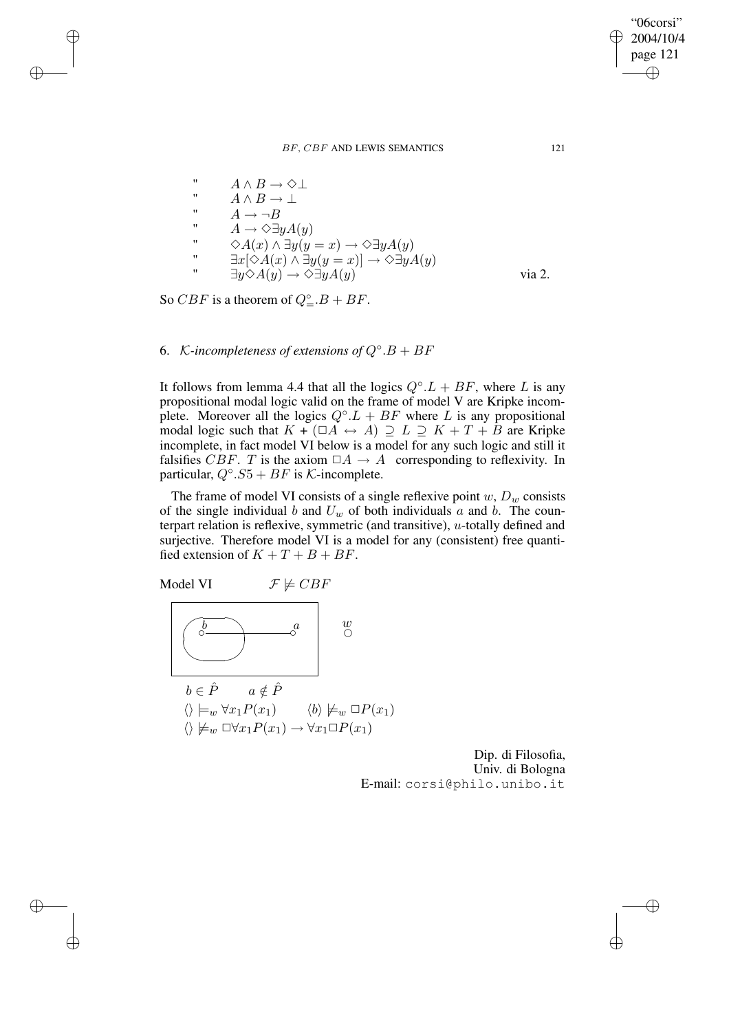$$
A \land B \to \Diamond \bot
$$
  
\n
$$
A \land B \to \bot
$$
  
\n
$$
A \to \neg B
$$
  
\n
$$
A \to \Diamond \exists y A(y)
$$
  
\n
$$
\Diamond A(x) \land \exists y(y = x) \to \Diamond \exists y A(y)
$$
  
\n
$$
\exists x [\Diamond A(x) \land \exists y(y = x)] \to \Diamond \exists y A(y)
$$
  
\n
$$
\exists y \Diamond A(y) \to \Diamond \exists y A(y)
$$
 via 2.

So *CBF* is a theorem of  $Q^{\circ}_{=}$ .*B* + *BF*.

 $\rightarrow$ 

 $\rightarrow$ 

✐

✐

6. K-incompleteness of extensions of  $Q^{\circ}.B + BF$ 

It follows from lemma 4.4 that all the logics  $Q^\circ L + BF$ , where L is any propositional modal logic valid on the frame of model V are Kripke incomplete. Moreover all the logics  $Q^{\circ}.L + BF$  where L is any propositional modal logic such that  $K + (\Box A \leftrightarrow A) \supseteq L \supseteq K + T + B$  are Kripke incomplete, in fact model VI below is a model for any such logic and still it falsifies CBF. T is the axiom  $\Box A \rightarrow A$  corresponding to reflexivity. In particular,  $Q^{\circ}.S5 + BF$  is K-incomplete.

The frame of model VI consists of a single reflexive point  $w, D_w$  consists of the single individual b and  $U_w$  of both individuals a and b. The counterpart relation is reflexive, symmetric (and transitive), u-totally defined and surjective. Therefore model VI is a model for any (consistent) free quantified extension of  $K + T + B + BF$ .

Model VI 
$$
\mathcal{F} \not\models CBF
$$
  
\n
$$
\begin{array}{|c|c|}\n\hline\n\begin{array}{c}\n\hline\n\end{array} & \mathcal{F} \not\models CBF \\
\hline\n\end{array}\n\end{array}
$$
\n
$$
b \in \hat{P} \quad a \notin \hat{P}
$$
\n
$$
\langle \rangle \models_w \forall x_1 P(x_1) \qquad \langle b \rangle \not\models_w \Box P(x_1) \\
\langle \rangle \not\models_w \Box \forall x_1 P(x_1) \rightarrow \forall x_1 \Box P(x_1)
$$

Dip. di Filosofia, Univ. di Bologna E-mail: corsi@philo.unibo.it

"06corsi" 2004/10/4 page 121

✐

✐

 $\oplus$